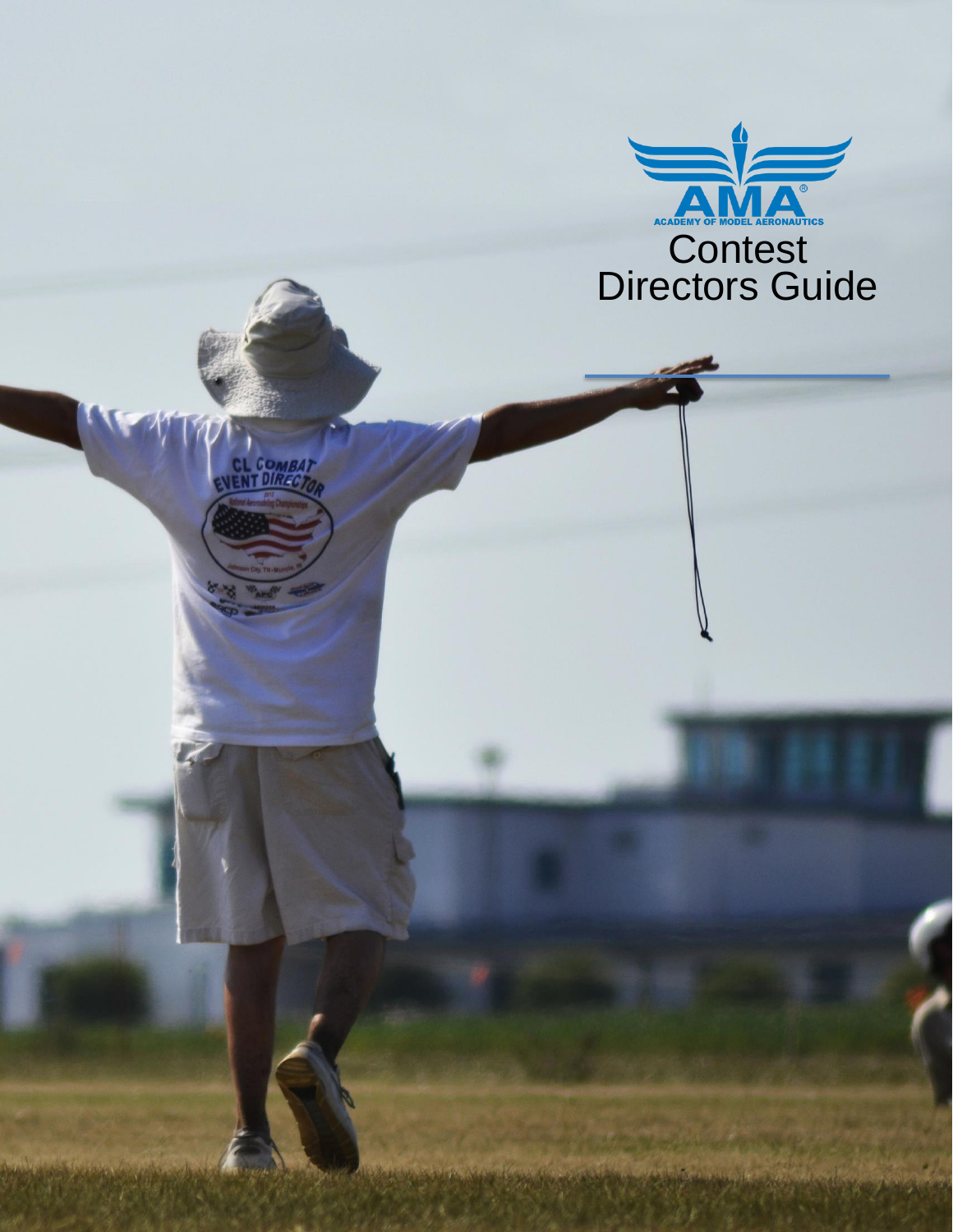

COMBAT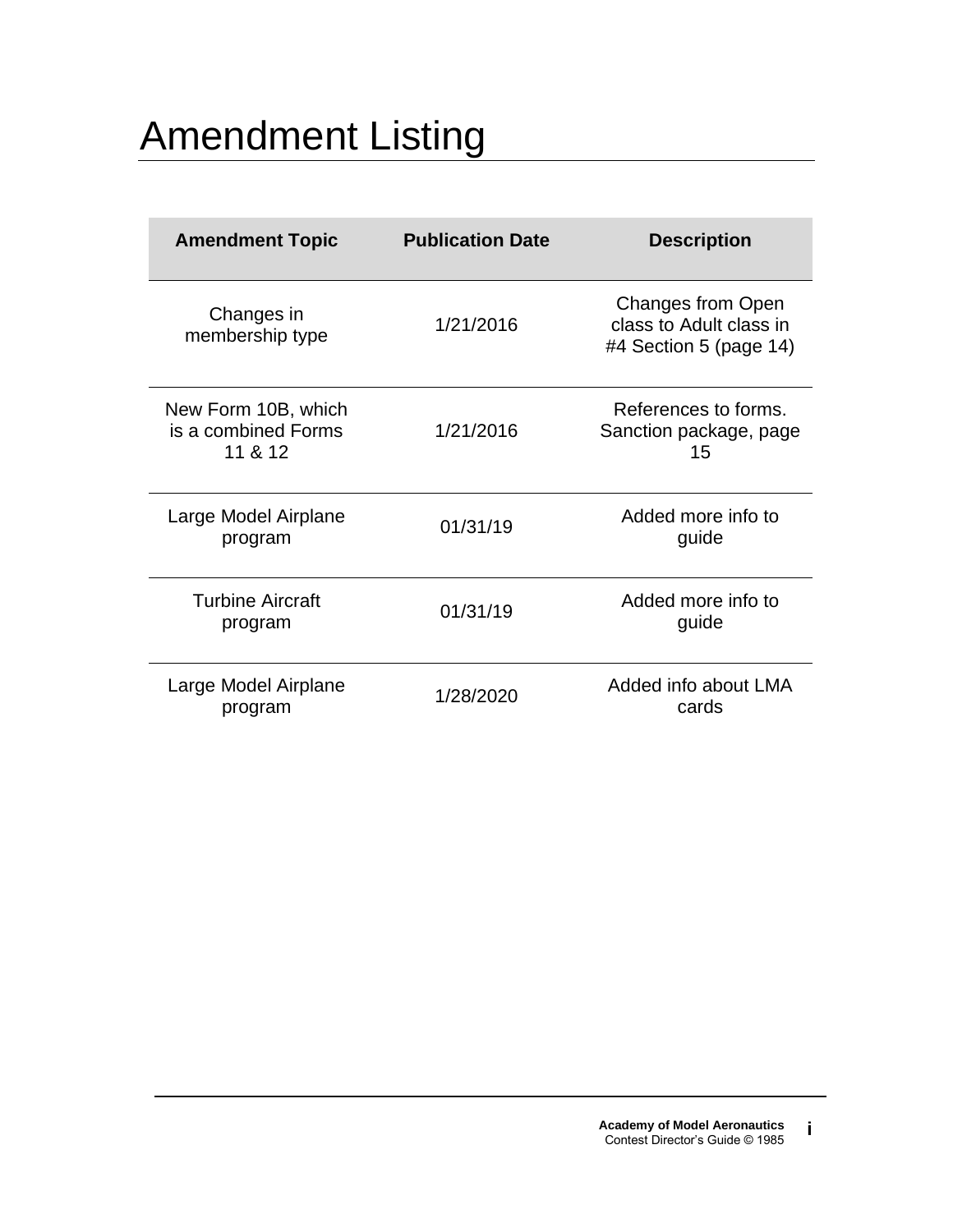# Amendment Listing

| <b>Amendment Topic</b>                                | <b>Publication Date</b> | <b>Description</b>                                                            |
|-------------------------------------------------------|-------------------------|-------------------------------------------------------------------------------|
| Changes in<br>membership type                         | 1/21/2016               | <b>Changes from Open</b><br>class to Adult class in<br>#4 Section 5 (page 14) |
| New Form 10B, which<br>is a combined Forms<br>11 & 12 | 1/21/2016               | References to forms.<br>Sanction package, page<br>15                          |
| Large Model Airplane<br>program                       | 01/31/19                | Added more info to<br>guide                                                   |
| <b>Turbine Aircraft</b><br>program                    | 01/31/19                | Added more info to<br>guide                                                   |
| Large Model Airplane<br>program                       | 1/28/2020               | Added info about LMA<br>cards                                                 |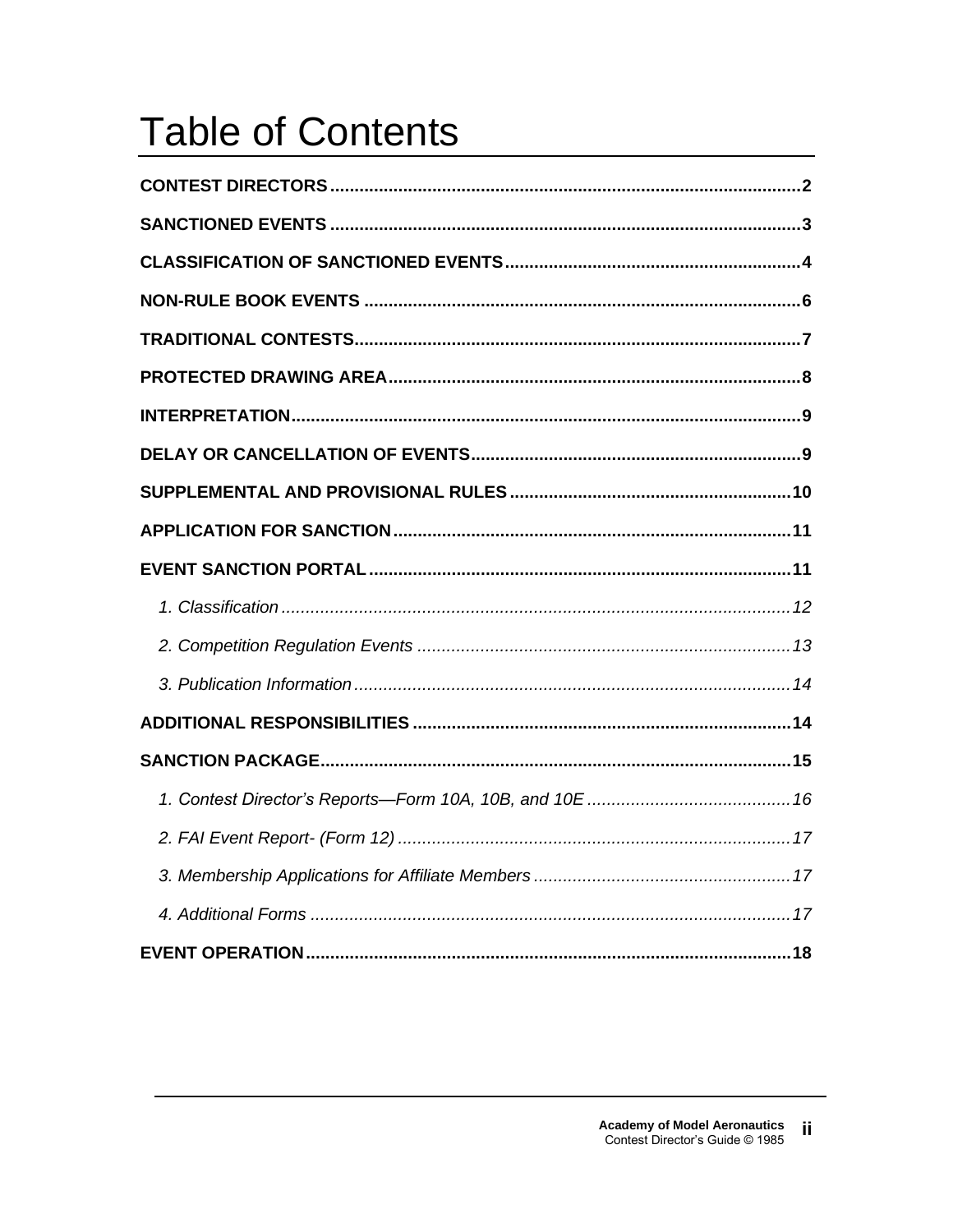# **Table of Contents**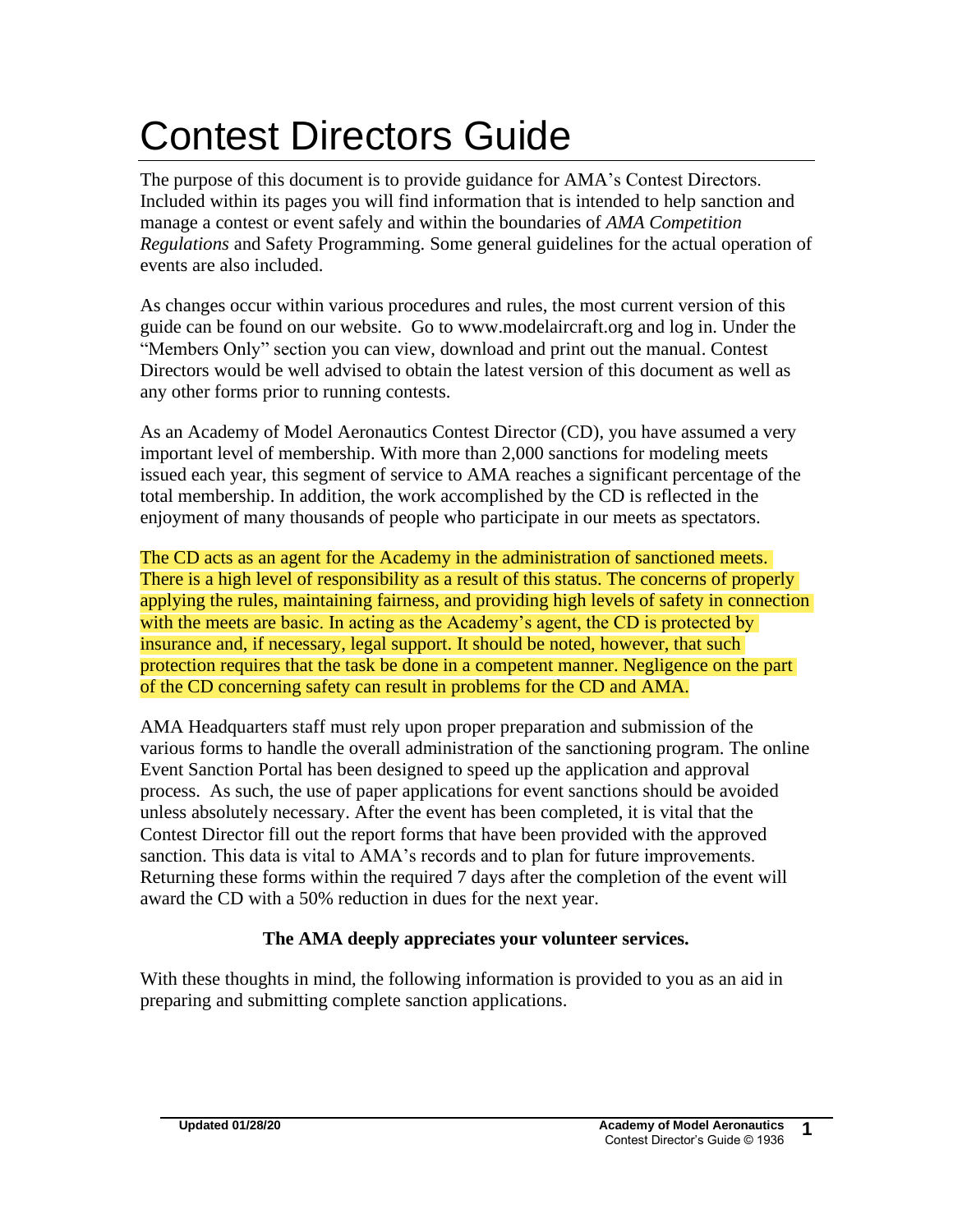# Contest Directors Guide

The purpose of this document is to provide guidance for AMA's Contest Directors. Included within its pages you will find information that is intended to help sanction and manage a contest or event safely and within the boundaries of *AMA Competition Regulations* and Safety Programming. Some general guidelines for the actual operation of events are also included.

As changes occur within various procedures and rules, the most current version of this guide can be found on our website. Go to www.modelaircraft.org and log in. Under the "Members Only" section you can view, download and print out the manual. Contest Directors would be well advised to obtain the latest version of this document as well as any other forms prior to running contests.

As an Academy of Model Aeronautics Contest Director (CD), you have assumed a very important level of membership. With more than 2,000 sanctions for modeling meets issued each year, this segment of service to AMA reaches a significant percentage of the total membership. In addition, the work accomplished by the CD is reflected in the enjoyment of many thousands of people who participate in our meets as spectators.

The CD acts as an agent for the Academy in the administration of sanctioned meets. There is a high level of responsibility as a result of this status. The concerns of properly applying the rules, maintaining fairness, and providing high levels of safety in connection with the meets are basic. In acting as the Academy's agent, the CD is protected by insurance and, if necessary, legal support. It should be noted, however, that such protection requires that the task be done in a competent manner. Negligence on the part of the CD concerning safety can result in problems for the CD and AMA.

AMA Headquarters staff must rely upon proper preparation and submission of the various forms to handle the overall administration of the sanctioning program. The online Event Sanction Portal has been designed to speed up the application and approval process. As such, the use of paper applications for event sanctions should be avoided unless absolutely necessary. After the event has been completed, it is vital that the Contest Director fill out the report forms that have been provided with the approved sanction. This data is vital to AMA's records and to plan for future improvements. Returning these forms within the required 7 days after the completion of the event will award the CD with a 50% reduction in dues for the next year.

## **The AMA deeply appreciates your volunteer services.**

With these thoughts in mind, the following information is provided to you as an aid in preparing and submitting complete sanction applications.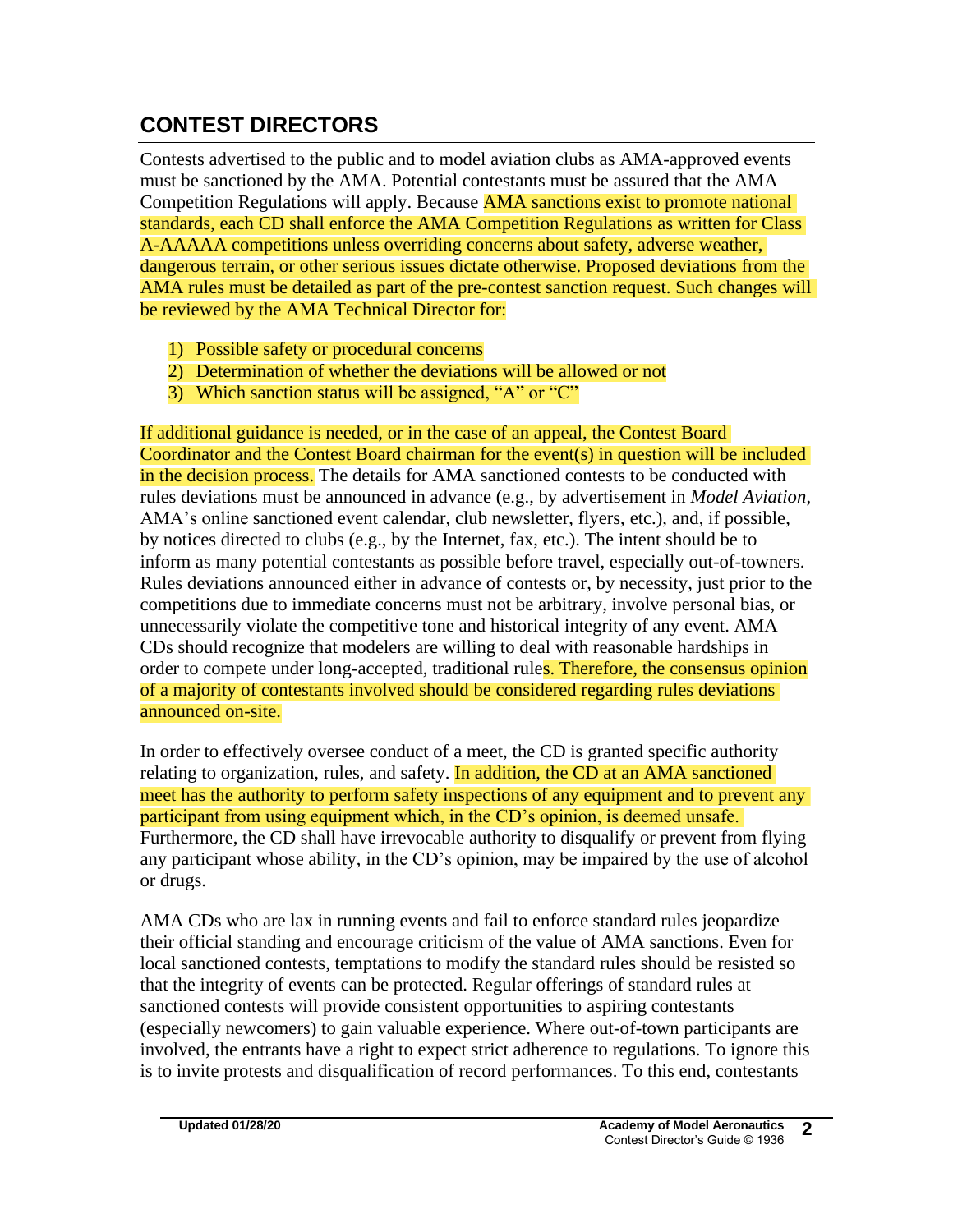# **CONTEST DIRECTORS**

Contests advertised to the public and to model aviation clubs as AMA-approved events must be sanctioned by the AMA. Potential contestants must be assured that the AMA Competition Regulations will apply. Because **AMA sanctions exist to promote national** standards, each CD shall enforce the AMA Competition Regulations as written for Class A-AAAAA competitions unless overriding concerns about safety, adverse weather, dangerous terrain, or other serious issues dictate otherwise. Proposed deviations from the AMA rules must be detailed as part of the pre-contest sanction request. Such changes will be reviewed by the AMA Technical Director for:

- 1) Possible safety or procedural concerns
- 2) Determination of whether the deviations will be allowed or not
- 3) Which sanction status will be assigned, "A" or "C"

If additional guidance is needed, or in the case of an appeal, the Contest Board Coordinator and the Contest Board chairman for the event(s) in question will be included in the decision process. The details for AMA sanctioned contests to be conducted with rules deviations must be announced in advance (e.g., by advertisement in *Model Aviation*, AMA's online sanctioned event calendar, club newsletter, flyers, etc.), and, if possible, by notices directed to clubs (e.g., by the Internet, fax, etc.). The intent should be to inform as many potential contestants as possible before travel, especially out-of-towners. Rules deviations announced either in advance of contests or, by necessity, just prior to the competitions due to immediate concerns must not be arbitrary, involve personal bias, or unnecessarily violate the competitive tone and historical integrity of any event. AMA CDs should recognize that modelers are willing to deal with reasonable hardships in order to compete under long-accepted, traditional rules. Therefore, the consensus opinion of a majority of contestants involved should be considered regarding rules deviations announced on-site.

In order to effectively oversee conduct of a meet, the CD is granted specific authority relating to organization, rules, and safety. In addition, the CD at an AMA sanctioned meet has the authority to perform safety inspections of any equipment and to prevent any participant from using equipment which, in the CD's opinion, is deemed unsafe. Furthermore, the CD shall have irrevocable authority to disqualify or prevent from flying any participant whose ability, in the CD's opinion, may be impaired by the use of alcohol or drugs.

AMA CDs who are lax in running events and fail to enforce standard rules jeopardize their official standing and encourage criticism of the value of AMA sanctions. Even for local sanctioned contests, temptations to modify the standard rules should be resisted so that the integrity of events can be protected. Regular offerings of standard rules at sanctioned contests will provide consistent opportunities to aspiring contestants (especially newcomers) to gain valuable experience. Where out-of-town participants are involved, the entrants have a right to expect strict adherence to regulations. To ignore this is to invite protests and disqualification of record performances. To this end, contestants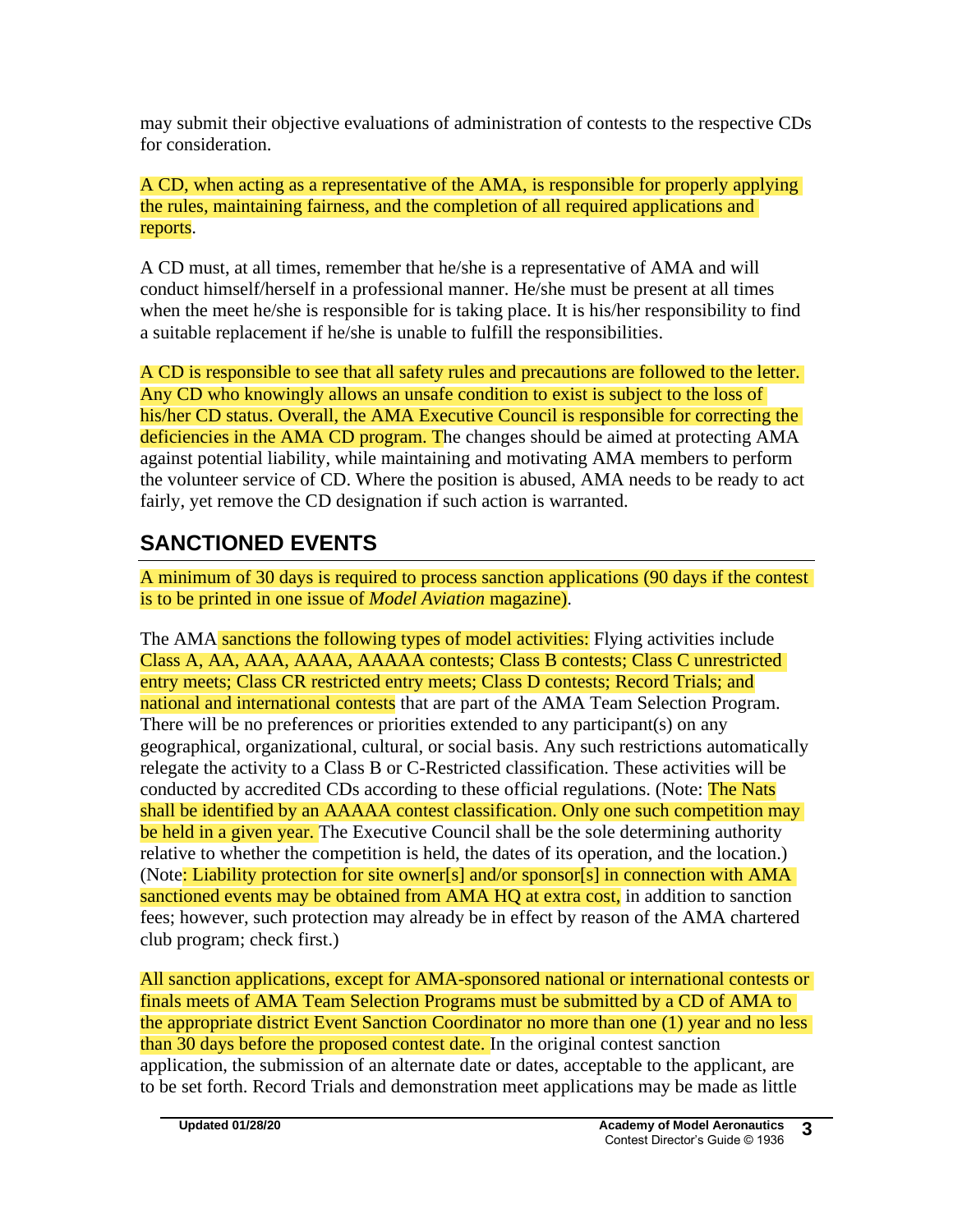may submit their objective evaluations of administration of contests to the respective CDs for consideration.

A CD, when acting as a representative of the AMA, is responsible for properly applying the rules, maintaining fairness, and the completion of all required applications and reports.

A CD must, at all times, remember that he/she is a representative of AMA and will conduct himself/herself in a professional manner. He/she must be present at all times when the meet he/she is responsible for is taking place. It is his/her responsibility to find a suitable replacement if he/she is unable to fulfill the responsibilities.

A CD is responsible to see that all safety rules and precautions are followed to the letter. Any CD who knowingly allows an unsafe condition to exist is subject to the loss of his/her CD status. Overall, the AMA Executive Council is responsible for correcting the deficiencies in the AMA CD program. The changes should be aimed at protecting AMA against potential liability, while maintaining and motivating AMA members to perform the volunteer service of CD. Where the position is abused, AMA needs to be ready to act fairly, yet remove the CD designation if such action is warranted.

# **SANCTIONED EVENTS**

A minimum of 30 days is required to process sanction applications (90 days if the contest is to be printed in one issue of *Model Aviation* magazine).

The AMA sanctions the following types of model activities: Flying activities include Class A, AA, AAA, AAAA, AAAAA contests; Class B contests; Class C unrestricted entry meets; Class CR restricted entry meets; Class D contests; Record Trials; and national and international contests that are part of the AMA Team Selection Program. There will be no preferences or priorities extended to any participant(s) on any geographical, organizational, cultural, or social basis. Any such restrictions automatically relegate the activity to a Class B or C-Restricted classification. These activities will be conducted by accredited CDs according to these official regulations. (Note: The Nats shall be identified by an AAAAA contest classification. Only one such competition may be held in a given year. The Executive Council shall be the sole determining authority relative to whether the competition is held, the dates of its operation, and the location.) (Note: Liability protection for site owner[s] and/or sponsor[s] in connection with AMA sanctioned events may be obtained from AMA HQ at extra cost, in addition to sanction fees; however, such protection may already be in effect by reason of the AMA chartered club program; check first.)

All sanction applications, except for AMA-sponsored national or international contests or finals meets of AMA Team Selection Programs must be submitted by a CD of AMA to the appropriate district Event Sanction Coordinator no more than one (1) year and no less than 30 days before the proposed contest date. In the original contest sanction application, the submission of an alternate date or dates, acceptable to the applicant, are to be set forth. Record Trials and demonstration meet applications may be made as little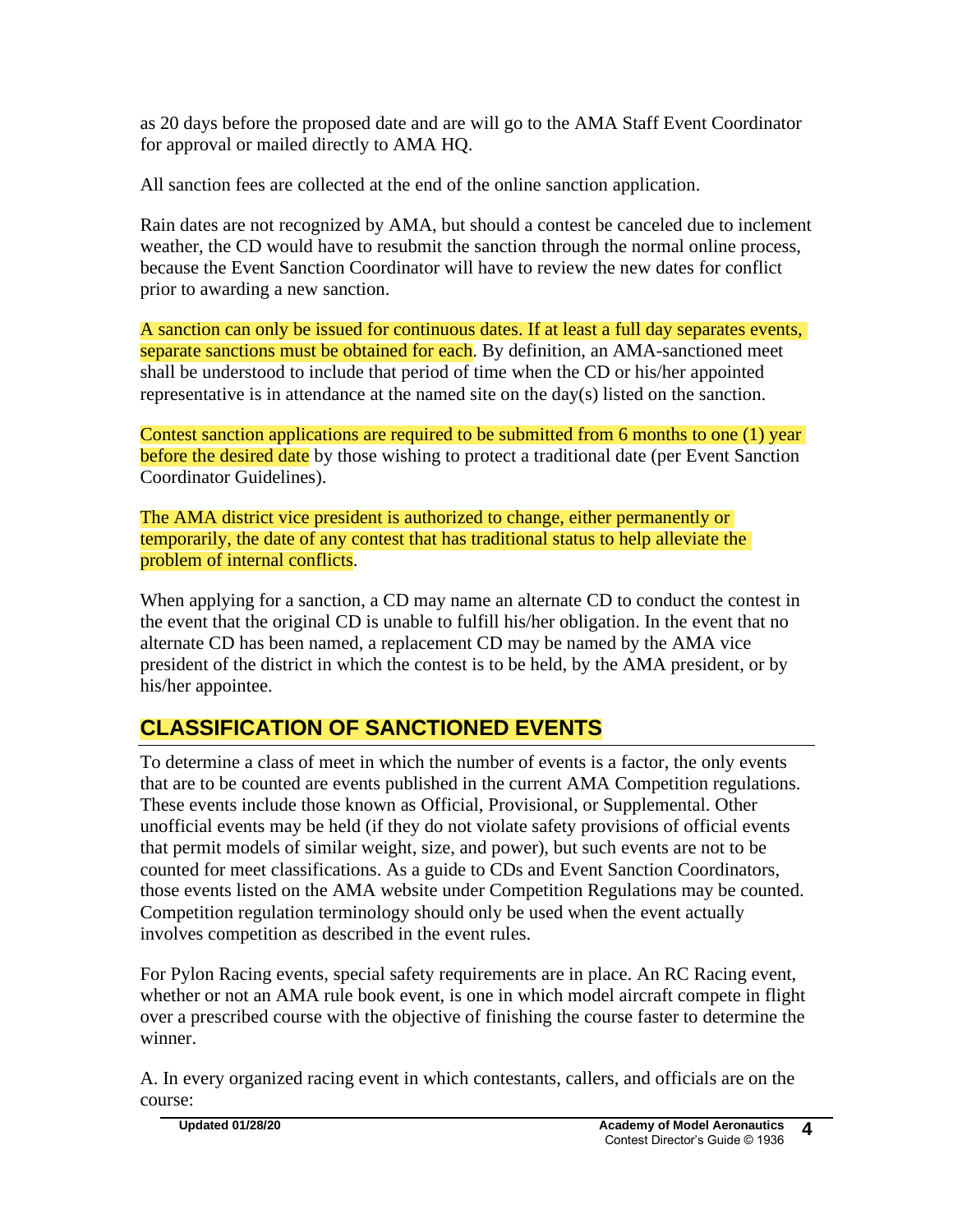as 20 days before the proposed date and are will go to the AMA Staff Event Coordinator for approval or mailed directly to AMA HQ.

All sanction fees are collected at the end of the online sanction application.

Rain dates are not recognized by AMA, but should a contest be canceled due to inclement weather, the CD would have to resubmit the sanction through the normal online process, because the Event Sanction Coordinator will have to review the new dates for conflict prior to awarding a new sanction.

A sanction can only be issued for continuous dates. If at least a full day separates events, separate sanctions must be obtained for each. By definition, an AMA-sanctioned meet shall be understood to include that period of time when the CD or his/her appointed representative is in attendance at the named site on the day(s) listed on the sanction.

Contest sanction applications are required to be submitted from 6 months to one (1) year before the desired date by those wishing to protect a traditional date (per Event Sanction Coordinator Guidelines).

The AMA district vice president is authorized to change, either permanently or temporarily, the date of any contest that has traditional status to help alleviate the problem of internal conflicts.

When applying for a sanction, a CD may name an alternate CD to conduct the contest in the event that the original CD is unable to fulfill his/her obligation. In the event that no alternate CD has been named, a replacement CD may be named by the AMA vice president of the district in which the contest is to be held, by the AMA president, or by his/her appointee.

# **CLASSIFICATION OF SANCTIONED EVENTS**

To determine a class of meet in which the number of events is a factor, the only events that are to be counted are events published in the current AMA Competition regulations. These events include those known as Official, Provisional, or Supplemental. Other unofficial events may be held (if they do not violate safety provisions of official events that permit models of similar weight, size, and power), but such events are not to be counted for meet classifications. As a guide to CDs and Event Sanction Coordinators, those events listed on the AMA website under Competition Regulations may be counted. Competition regulation terminology should only be used when the event actually involves competition as described in the event rules.

For Pylon Racing events, special safety requirements are in place. An RC Racing event, whether or not an AMA rule book event, is one in which model aircraft compete in flight over a prescribed course with the objective of finishing the course faster to determine the winner.

A. In every organized racing event in which contestants, callers, and officials are on the course: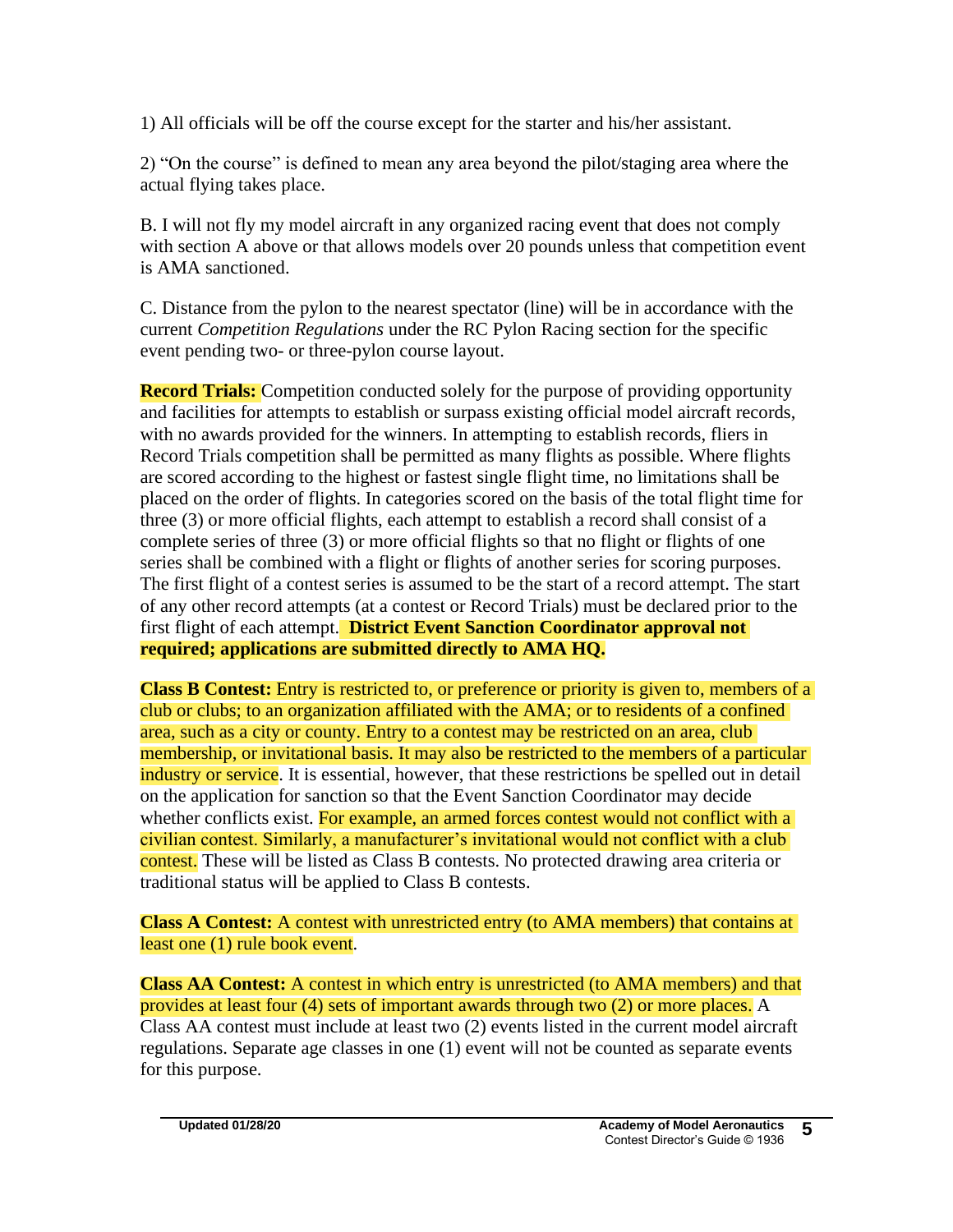1) All officials will be off the course except for the starter and his/her assistant.

2) "On the course" is defined to mean any area beyond the pilot/staging area where the actual flying takes place.

B. I will not fly my model aircraft in any organized racing event that does not comply with section A above or that allows models over 20 pounds unless that competition event is AMA sanctioned.

C. Distance from the pylon to the nearest spectator (line) will be in accordance with the current *Competition Regulations* under the RC Pylon Racing section for the specific event pending two- or three-pylon course layout.

**Record Trials:** Competition conducted solely for the purpose of providing opportunity and facilities for attempts to establish or surpass existing official model aircraft records, with no awards provided for the winners. In attempting to establish records, fliers in Record Trials competition shall be permitted as many flights as possible. Where flights are scored according to the highest or fastest single flight time, no limitations shall be placed on the order of flights. In categories scored on the basis of the total flight time for three (3) or more official flights, each attempt to establish a record shall consist of a complete series of three (3) or more official flights so that no flight or flights of one series shall be combined with a flight or flights of another series for scoring purposes. The first flight of a contest series is assumed to be the start of a record attempt. The start of any other record attempts (at a contest or Record Trials) must be declared prior to the first flight of each attempt. **District Event Sanction Coordinator approval not required; applications are submitted directly to AMA HQ.** 

**Class B Contest:** Entry is restricted to, or preference or priority is given to, members of a club or clubs; to an organization affiliated with the AMA; or to residents of a confined area, such as a city or county. Entry to a contest may be restricted on an area, club membership, or invitational basis. It may also be restricted to the members of a particular industry or service. It is essential, however, that these restrictions be spelled out in detail on the application for sanction so that the Event Sanction Coordinator may decide whether conflicts exist. For example, an armed forces contest would not conflict with a civilian contest. Similarly, a manufacturer's invitational would not conflict with a club contest. These will be listed as Class B contests. No protected drawing area criteria or traditional status will be applied to Class B contests.

**Class A Contest:** A contest with unrestricted entry (to AMA members) that contains at least one (1) rule book event.

**Class AA Contest:** A contest in which entry is unrestricted (to AMA members) and that provides at least four (4) sets of important awards through two (2) or more places. A Class AA contest must include at least two (2) events listed in the current model aircraft regulations. Separate age classes in one (1) event will not be counted as separate events for this purpose.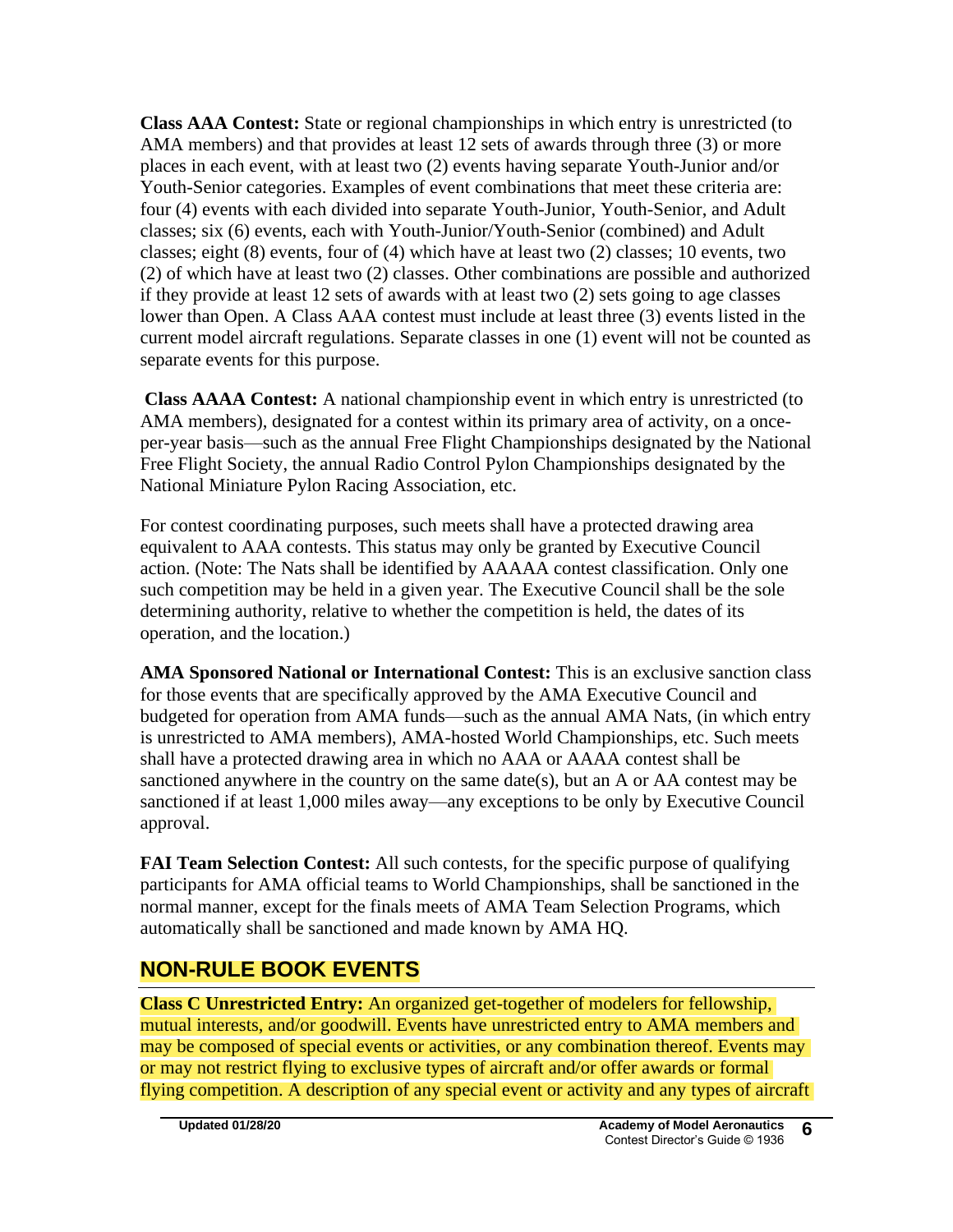**Class AAA Contest:** State or regional championships in which entry is unrestricted (to AMA members) and that provides at least 12 sets of awards through three (3) or more places in each event, with at least two (2) events having separate Youth-Junior and/or Youth-Senior categories. Examples of event combinations that meet these criteria are: four (4) events with each divided into separate Youth-Junior, Youth-Senior, and Adult classes; six (6) events, each with Youth-Junior/Youth-Senior (combined) and Adult classes; eight (8) events, four of (4) which have at least two (2) classes; 10 events, two (2) of which have at least two (2) classes. Other combinations are possible and authorized if they provide at least 12 sets of awards with at least two (2) sets going to age classes lower than Open. A Class AAA contest must include at least three (3) events listed in the current model aircraft regulations. Separate classes in one (1) event will not be counted as separate events for this purpose.

**Class AAAA Contest:** A national championship event in which entry is unrestricted (to AMA members), designated for a contest within its primary area of activity, on a onceper-year basis—such as the annual Free Flight Championships designated by the National Free Flight Society, the annual Radio Control Pylon Championships designated by the National Miniature Pylon Racing Association, etc.

For contest coordinating purposes, such meets shall have a protected drawing area equivalent to AAA contests. This status may only be granted by Executive Council action. (Note: The Nats shall be identified by AAAAA contest classification. Only one such competition may be held in a given year. The Executive Council shall be the sole determining authority, relative to whether the competition is held, the dates of its operation, and the location.)

**AMA Sponsored National or International Contest:** This is an exclusive sanction class for those events that are specifically approved by the AMA Executive Council and budgeted for operation from AMA funds—such as the annual AMA Nats, (in which entry is unrestricted to AMA members), AMA-hosted World Championships, etc. Such meets shall have a protected drawing area in which no AAA or AAAA contest shall be sanctioned anywhere in the country on the same date(s), but an A or AA contest may be sanctioned if at least 1,000 miles away—any exceptions to be only by Executive Council approval.

**FAI Team Selection Contest:** All such contests, for the specific purpose of qualifying participants for AMA official teams to World Championships, shall be sanctioned in the normal manner, except for the finals meets of AMA Team Selection Programs, which automatically shall be sanctioned and made known by AMA HQ.

## **NON-RULE BOOK EVENTS**

**Class C Unrestricted Entry:** An organized get-together of modelers for fellowship, mutual interests, and/or goodwill. Events have unrestricted entry to AMA members and may be composed of special events or activities, or any combination thereof. Events may or may not restrict flying to exclusive types of aircraft and/or offer awards or formal flying competition. A description of any special event or activity and any types of aircraft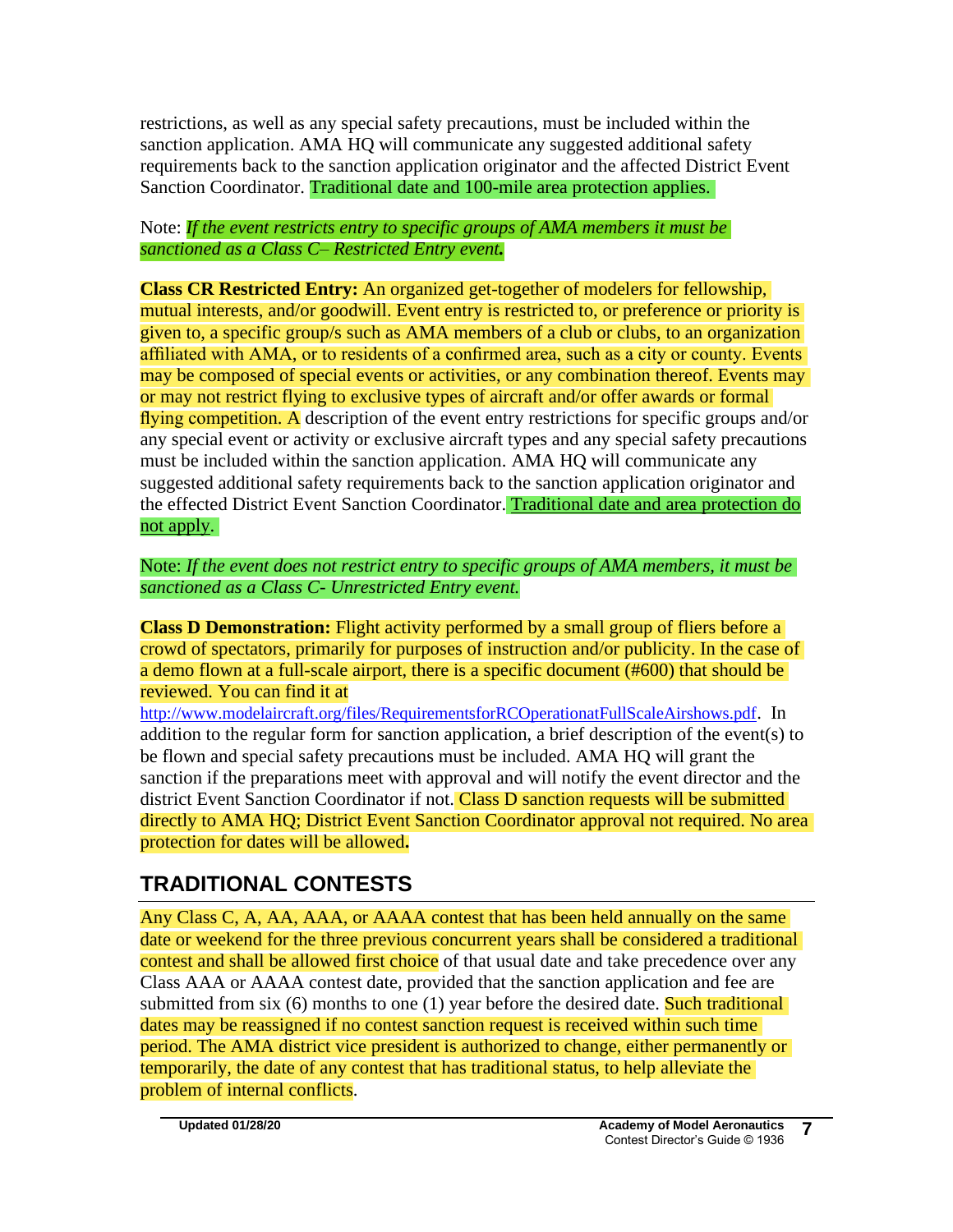restrictions, as well as any special safety precautions, must be included within the sanction application. AMA HQ will communicate any suggested additional safety requirements back to the sanction application originator and the affected District Event Sanction Coordinator. Traditional date and 100-mile area protection applies.

Note: *If the event restricts entry to specific groups of AMA members it must be sanctioned as a Class C– Restricted Entry event.*

**Class CR Restricted Entry:** An organized get-together of modelers for fellowship, mutual interests, and/or goodwill. Event entry is restricted to, or preference or priority is given to, a specific group/s such as AMA members of a club or clubs, to an organization affiliated with AMA, or to residents of a confirmed area, such as a city or county. Events may be composed of special events or activities, or any combination thereof. Events may or may not restrict flying to exclusive types of aircraft and/or offer awards or formal flying competition. A description of the event entry restrictions for specific groups and/or any special event or activity or exclusive aircraft types and any special safety precautions must be included within the sanction application. AMA HQ will communicate any suggested additional safety requirements back to the sanction application originator and the effected District Event Sanction Coordinator. Traditional date and area protection do not apply.

Note: *If the event does not restrict entry to specific groups of AMA members, it must be sanctioned as a Class C- Unrestricted Entry event.* 

**Class D Demonstration:** Flight activity performed by a small group of fliers before a crowd of spectators, primarily for purposes of instruction and/or publicity. In the case of a demo flown at a full-scale airport, there is a specific document (#600) that should be reviewed. You can find it at

<http://www.modelaircraft.org/files/RequirementsforRCOperationatFullScaleAirshows.pdf>. In addition to the regular form for sanction application, a brief description of the event(s) to be flown and special safety precautions must be included. AMA HQ will grant the sanction if the preparations meet with approval and will notify the event director and the district Event Sanction Coordinator if not. Class D sanction requests will be submitted directly to AMA HQ; District Event Sanction Coordinator approval not required. No area protection for dates will be allowed**.** 

# **TRADITIONAL CONTESTS**

Any Class C, A, AA, AAA, or AAAA contest that has been held annually on the same date or weekend for the three previous concurrent years shall be considered a traditional contest and shall be allowed first choice of that usual date and take precedence over any Class AAA or AAAA contest date, provided that the sanction application and fee are submitted from six  $(6)$  months to one  $(1)$  year before the desired date. Such traditional dates may be reassigned if no contest sanction request is received within such time period. The AMA district vice president is authorized to change, either permanently or temporarily, the date of any contest that has traditional status, to help alleviate the problem of internal conflicts.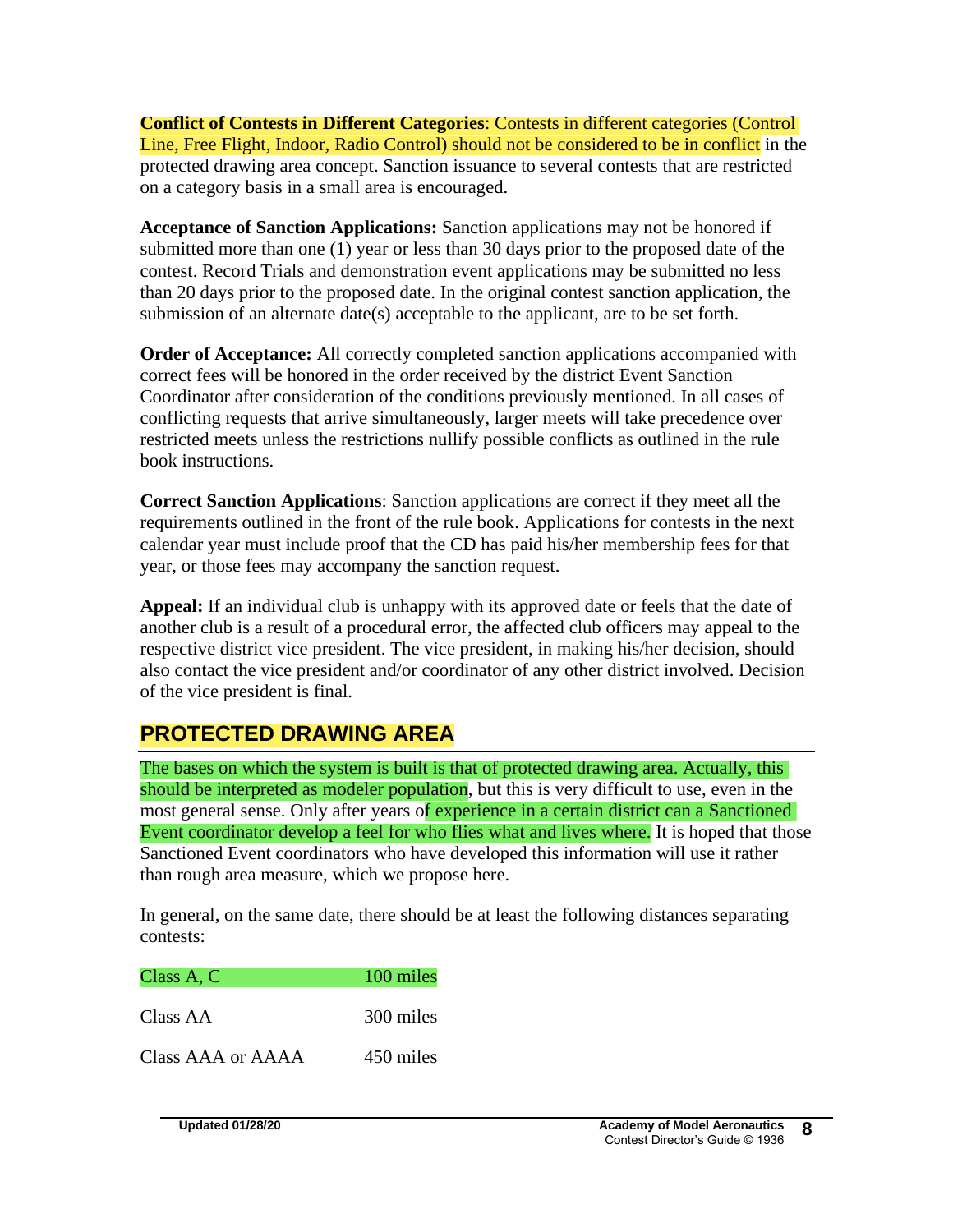**Conflict of Contests in Different Categories**: Contests in different categories (Control Line, Free Flight, Indoor, Radio Control) should not be considered to be in conflict in the protected drawing area concept. Sanction issuance to several contests that are restricted on a category basis in a small area is encouraged.

**Acceptance of Sanction Applications:** Sanction applications may not be honored if submitted more than one (1) year or less than 30 days prior to the proposed date of the contest. Record Trials and demonstration event applications may be submitted no less than 20 days prior to the proposed date. In the original contest sanction application, the submission of an alternate date(s) acceptable to the applicant, are to be set forth.

**Order of Acceptance:** All correctly completed sanction applications accompanied with correct fees will be honored in the order received by the district Event Sanction Coordinator after consideration of the conditions previously mentioned. In all cases of conflicting requests that arrive simultaneously, larger meets will take precedence over restricted meets unless the restrictions nullify possible conflicts as outlined in the rule book instructions.

**Correct Sanction Applications**: Sanction applications are correct if they meet all the requirements outlined in the front of the rule book. Applications for contests in the next calendar year must include proof that the CD has paid his/her membership fees for that year, or those fees may accompany the sanction request.

**Appeal:** If an individual club is unhappy with its approved date or feels that the date of another club is a result of a procedural error, the affected club officers may appeal to the respective district vice president. The vice president, in making his/her decision, should also contact the vice president and/or coordinator of any other district involved. Decision of the vice president is final.

# **PROTECTED DRAWING AREA**

The bases on which the system is built is that of protected drawing area. Actually, this should be interpreted as modeler population, but this is very difficult to use, even in the most general sense. Only after years of experience in a certain district can a Sanctioned Event coordinator develop a feel for who flies what and lives where. It is hoped that those Sanctioned Event coordinators who have developed this information will use it rather than rough area measure, which we propose here.

In general, on the same date, there should be at least the following distances separating contests:

| Class A, C        | 100 miles |
|-------------------|-----------|
| Class AA          | 300 miles |
| Class AAA or AAAA | 450 miles |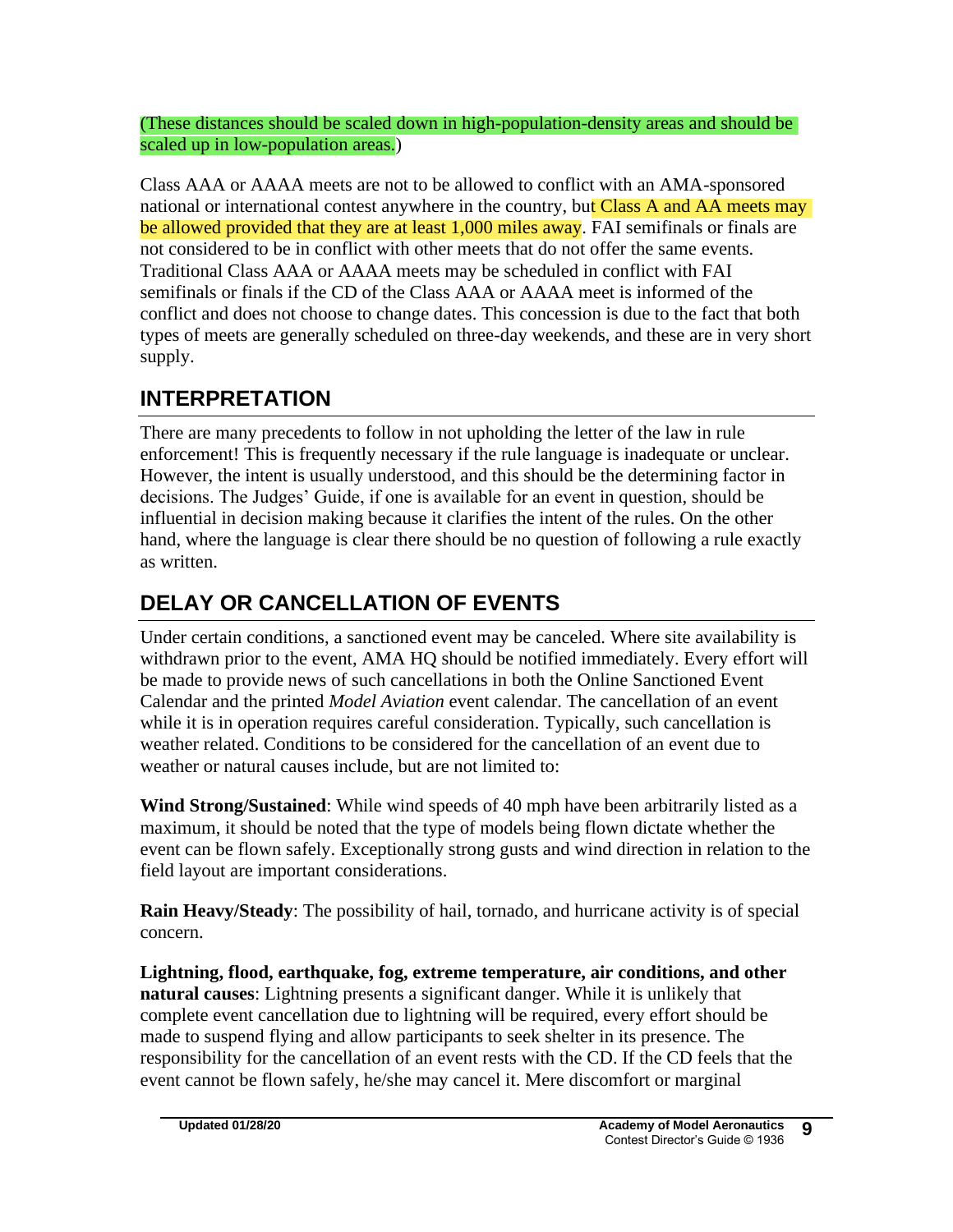(These distances should be scaled down in high-population-density areas and should be scaled up in low-population areas.)

Class AAA or AAAA meets are not to be allowed to conflict with an AMA-sponsored national or international contest anywhere in the country, but Class A and AA meets may be allowed provided that they are at least 1,000 miles away. FAI semifinals or finals are not considered to be in conflict with other meets that do not offer the same events. Traditional Class AAA or AAAA meets may be scheduled in conflict with FAI semifinals or finals if the CD of the Class AAA or AAAA meet is informed of the conflict and does not choose to change dates. This concession is due to the fact that both types of meets are generally scheduled on three-day weekends, and these are in very short supply.

# **INTERPRETATION**

There are many precedents to follow in not upholding the letter of the law in rule enforcement! This is frequently necessary if the rule language is inadequate or unclear. However, the intent is usually understood, and this should be the determining factor in decisions. The Judges' Guide, if one is available for an event in question, should be influential in decision making because it clarifies the intent of the rules. On the other hand, where the language is clear there should be no question of following a rule exactly as written.

# **DELAY OR CANCELLATION OF EVENTS**

Under certain conditions, a sanctioned event may be canceled. Where site availability is withdrawn prior to the event, AMA HQ should be notified immediately. Every effort will be made to provide news of such cancellations in both the Online Sanctioned Event Calendar and the printed *Model Aviation* event calendar. The cancellation of an event while it is in operation requires careful consideration. Typically, such cancellation is weather related. Conditions to be considered for the cancellation of an event due to weather or natural causes include, but are not limited to:

**Wind Strong/Sustained**: While wind speeds of 40 mph have been arbitrarily listed as a maximum, it should be noted that the type of models being flown dictate whether the event can be flown safely. Exceptionally strong gusts and wind direction in relation to the field layout are important considerations.

**Rain Heavy/Steady**: The possibility of hail, tornado, and hurricane activity is of special concern.

**Lightning, flood, earthquake, fog, extreme temperature, air conditions, and other natural causes**: Lightning presents a significant danger. While it is unlikely that complete event cancellation due to lightning will be required, every effort should be made to suspend flying and allow participants to seek shelter in its presence. The responsibility for the cancellation of an event rests with the CD. If the CD feels that the event cannot be flown safely, he/she may cancel it. Mere discomfort or marginal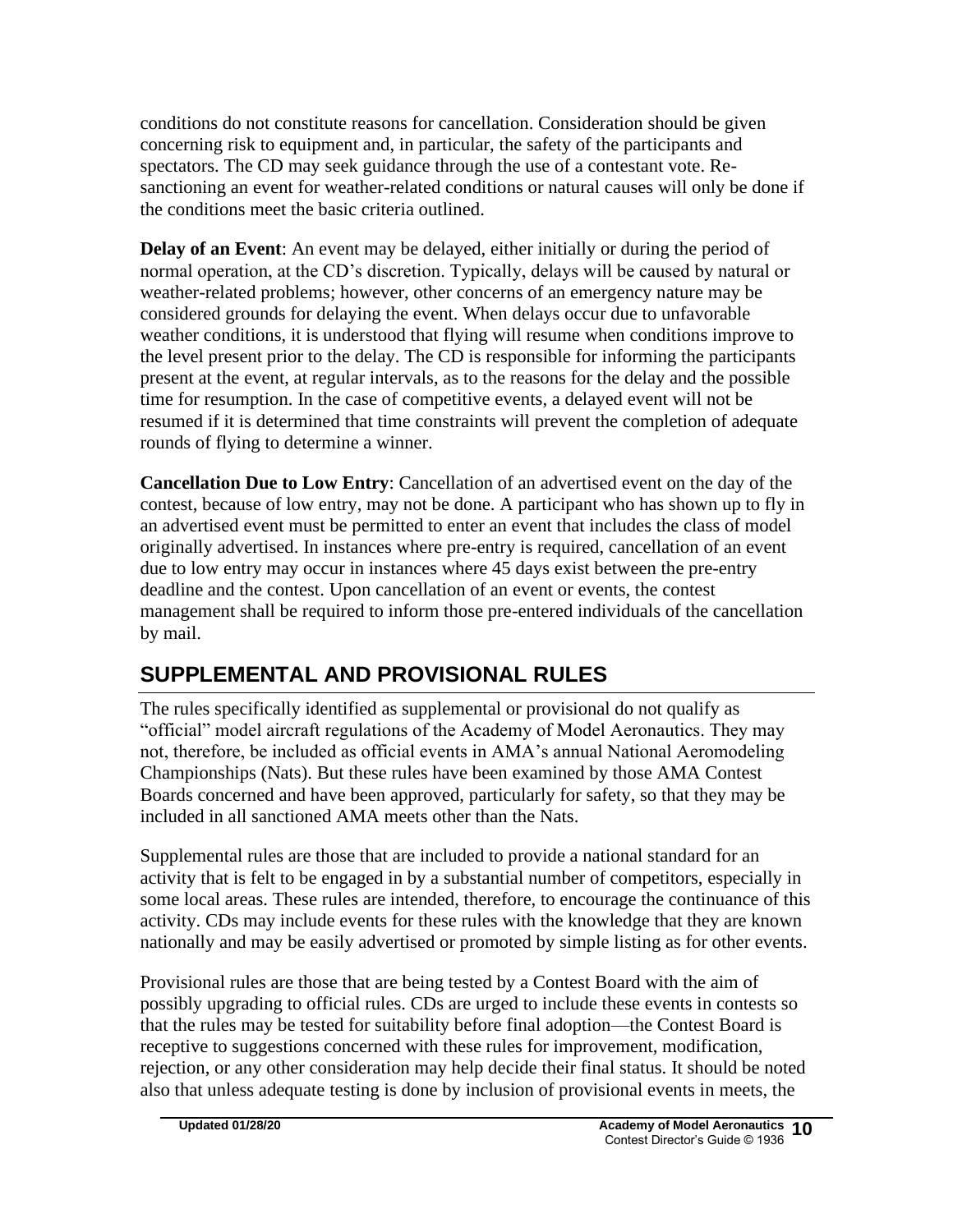conditions do not constitute reasons for cancellation. Consideration should be given concerning risk to equipment and, in particular, the safety of the participants and spectators. The CD may seek guidance through the use of a contestant vote. Resanctioning an event for weather-related conditions or natural causes will only be done if the conditions meet the basic criteria outlined.

**Delay of an Event**: An event may be delayed, either initially or during the period of normal operation, at the CD's discretion. Typically, delays will be caused by natural or weather-related problems; however, other concerns of an emergency nature may be considered grounds for delaying the event. When delays occur due to unfavorable weather conditions, it is understood that flying will resume when conditions improve to the level present prior to the delay. The CD is responsible for informing the participants present at the event, at regular intervals, as to the reasons for the delay and the possible time for resumption. In the case of competitive events, a delayed event will not be resumed if it is determined that time constraints will prevent the completion of adequate rounds of flying to determine a winner.

**Cancellation Due to Low Entry**: Cancellation of an advertised event on the day of the contest, because of low entry, may not be done. A participant who has shown up to fly in an advertised event must be permitted to enter an event that includes the class of model originally advertised. In instances where pre-entry is required, cancellation of an event due to low entry may occur in instances where 45 days exist between the pre-entry deadline and the contest. Upon cancellation of an event or events, the contest management shall be required to inform those pre-entered individuals of the cancellation by mail.

# **SUPPLEMENTAL AND PROVISIONAL RULES**

The rules specifically identified as supplemental or provisional do not qualify as "official" model aircraft regulations of the Academy of Model Aeronautics. They may not, therefore, be included as official events in AMA's annual National Aeromodeling Championships (Nats). But these rules have been examined by those AMA Contest Boards concerned and have been approved, particularly for safety, so that they may be included in all sanctioned AMA meets other than the Nats.

Supplemental rules are those that are included to provide a national standard for an activity that is felt to be engaged in by a substantial number of competitors, especially in some local areas. These rules are intended, therefore, to encourage the continuance of this activity. CDs may include events for these rules with the knowledge that they are known nationally and may be easily advertised or promoted by simple listing as for other events.

Provisional rules are those that are being tested by a Contest Board with the aim of possibly upgrading to official rules. CDs are urged to include these events in contests so that the rules may be tested for suitability before final adoption—the Contest Board is receptive to suggestions concerned with these rules for improvement, modification, rejection, or any other consideration may help decide their final status. It should be noted also that unless adequate testing is done by inclusion of provisional events in meets, the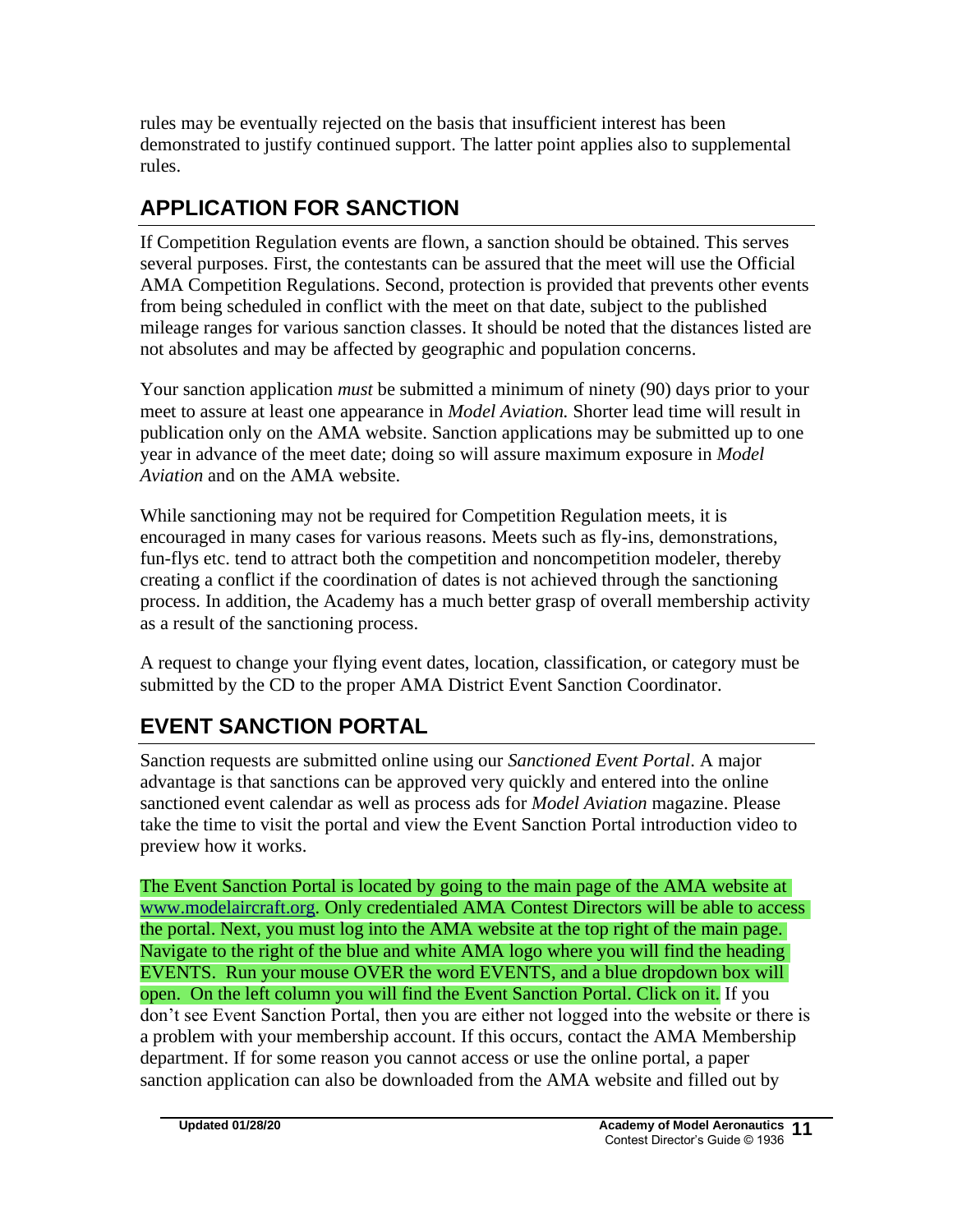rules may be eventually rejected on the basis that insufficient interest has been demonstrated to justify continued support. The latter point applies also to supplemental rules.

# **APPLICATION FOR SANCTION**

If Competition Regulation events are flown, a sanction should be obtained. This serves several purposes. First, the contestants can be assured that the meet will use the Official AMA Competition Regulations. Second, protection is provided that prevents other events from being scheduled in conflict with the meet on that date, subject to the published mileage ranges for various sanction classes. It should be noted that the distances listed are not absolutes and may be affected by geographic and population concerns.

Your sanction application *must* be submitted a minimum of ninety (90) days prior to your meet to assure at least one appearance in *Model Aviation.* Shorter lead time will result in publication only on the AMA website. Sanction applications may be submitted up to one year in advance of the meet date; doing so will assure maximum exposure in *Model Aviation* and on the AMA website.

While sanctioning may not be required for Competition Regulation meets, it is encouraged in many cases for various reasons. Meets such as fly-ins, demonstrations, fun-flys etc. tend to attract both the competition and noncompetition modeler, thereby creating a conflict if the coordination of dates is not achieved through the sanctioning process. In addition, the Academy has a much better grasp of overall membership activity as a result of the sanctioning process.

A request to change your flying event dates, location, classification, or category must be submitted by the CD to the proper AMA District Event Sanction Coordinator.

# **EVENT SANCTION PORTAL**

Sanction requests are submitted online using our *Sanctioned Event Portal*. A major advantage is that sanctions can be approved very quickly and entered into the online sanctioned event calendar as well as process ads for *Model Aviation* magazine. Please take the time to visit the portal and view the Event Sanction Portal introduction video to preview how it works.

The Event Sanction Portal is located by going to the main page of the AMA website at [www.modelaircraft.org.](http://www.modelaircraft.org/) Only credentialed AMA Contest Directors will be able to access the portal. Next, you must log into the AMA website at the top right of the main page. Navigate to the right of the blue and white AMA logo where you will find the heading EVENTS. Run your mouse OVER the word EVENTS, and a blue dropdown box will open. On the left column you will find the Event Sanction Portal. Click on it. If you don't see Event Sanction Portal, then you are either not logged into the website or there is a problem with your membership account. If this occurs, contact the AMA Membership department. If for some reason you cannot access or use the online portal, a paper sanction application can also be downloaded from the AMA website and filled out by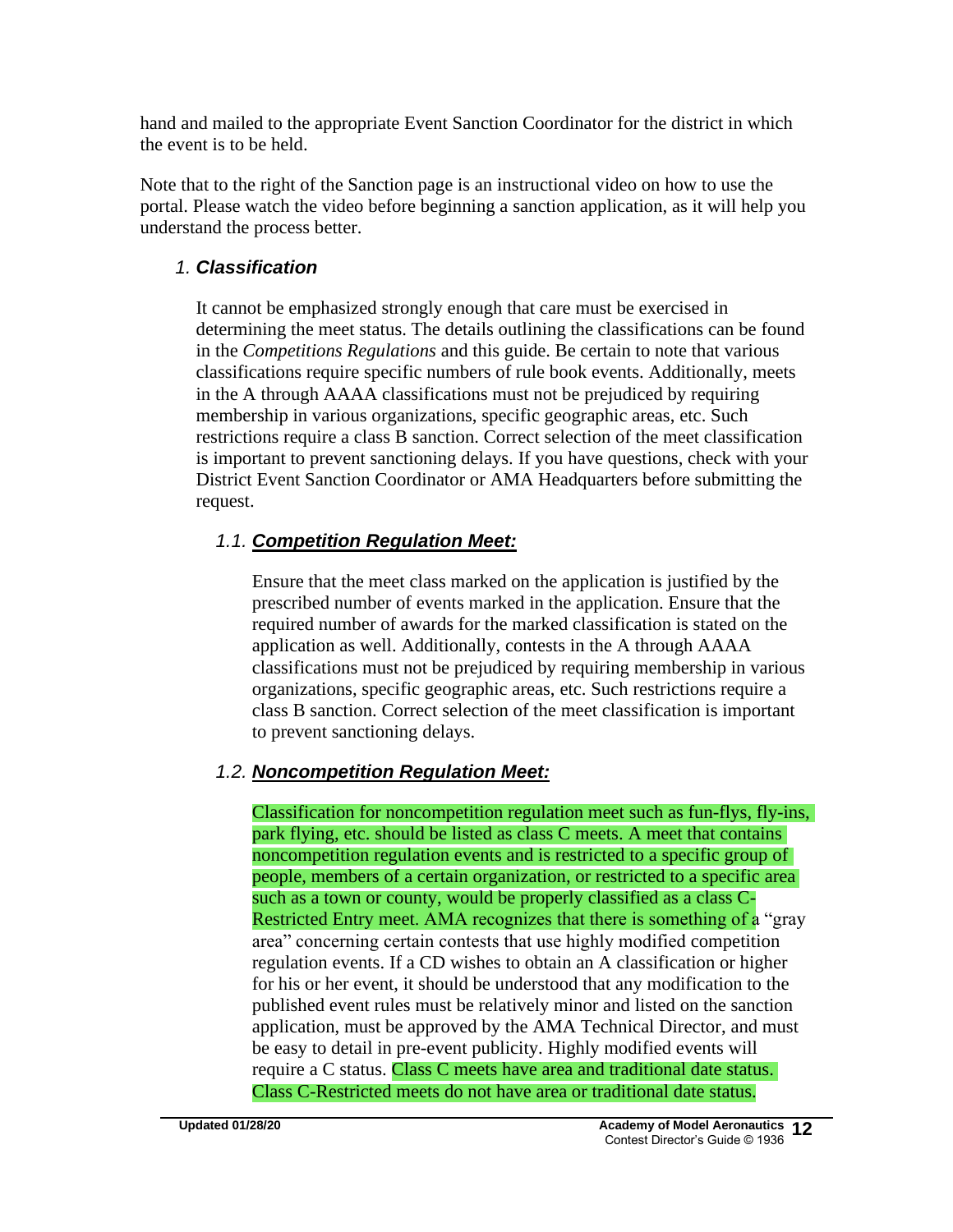hand and mailed to the appropriate Event Sanction Coordinator for the district in which the event is to be held.

Note that to the right of the Sanction page is an instructional video on how to use the portal. Please watch the video before beginning a sanction application, as it will help you understand the process better.

## *1. Classification*

It cannot be emphasized strongly enough that care must be exercised in determining the meet status. The details outlining the classifications can be found in the *Competitions Regulations* and this guide. Be certain to note that various classifications require specific numbers of rule book events. Additionally, meets in the A through AAAA classifications must not be prejudiced by requiring membership in various organizations, specific geographic areas, etc. Such restrictions require a class B sanction. Correct selection of the meet classification is important to prevent sanctioning delays. If you have questions, check with your District Event Sanction Coordinator or AMA Headquarters before submitting the request.

## *1.1. Competition Regulation Meet:*

Ensure that the meet class marked on the application is justified by the prescribed number of events marked in the application. Ensure that the required number of awards for the marked classification is stated on the application as well. Additionally, contests in the A through AAAA classifications must not be prejudiced by requiring membership in various organizations, specific geographic areas, etc. Such restrictions require a class B sanction. Correct selection of the meet classification is important to prevent sanctioning delays.

## *1.2. Noncompetition Regulation Meet:*

Classification for noncompetition regulation meet such as fun-flys, fly-ins, park flying, etc. should be listed as class C meets. A meet that contains noncompetition regulation events and is restricted to a specific group of people, members of a certain organization, or restricted to a specific area such as a town or county, would be properly classified as a class C-Restricted Entry meet. AMA recognizes that there is something of a "gray" area" concerning certain contests that use highly modified competition regulation events. If a CD wishes to obtain an A classification or higher for his or her event, it should be understood that any modification to the published event rules must be relatively minor and listed on the sanction application, must be approved by the AMA Technical Director, and must be easy to detail in pre-event publicity. Highly modified events will require a C status. Class C meets have area and traditional date status. Class C-Restricted meets do not have area or traditional date status.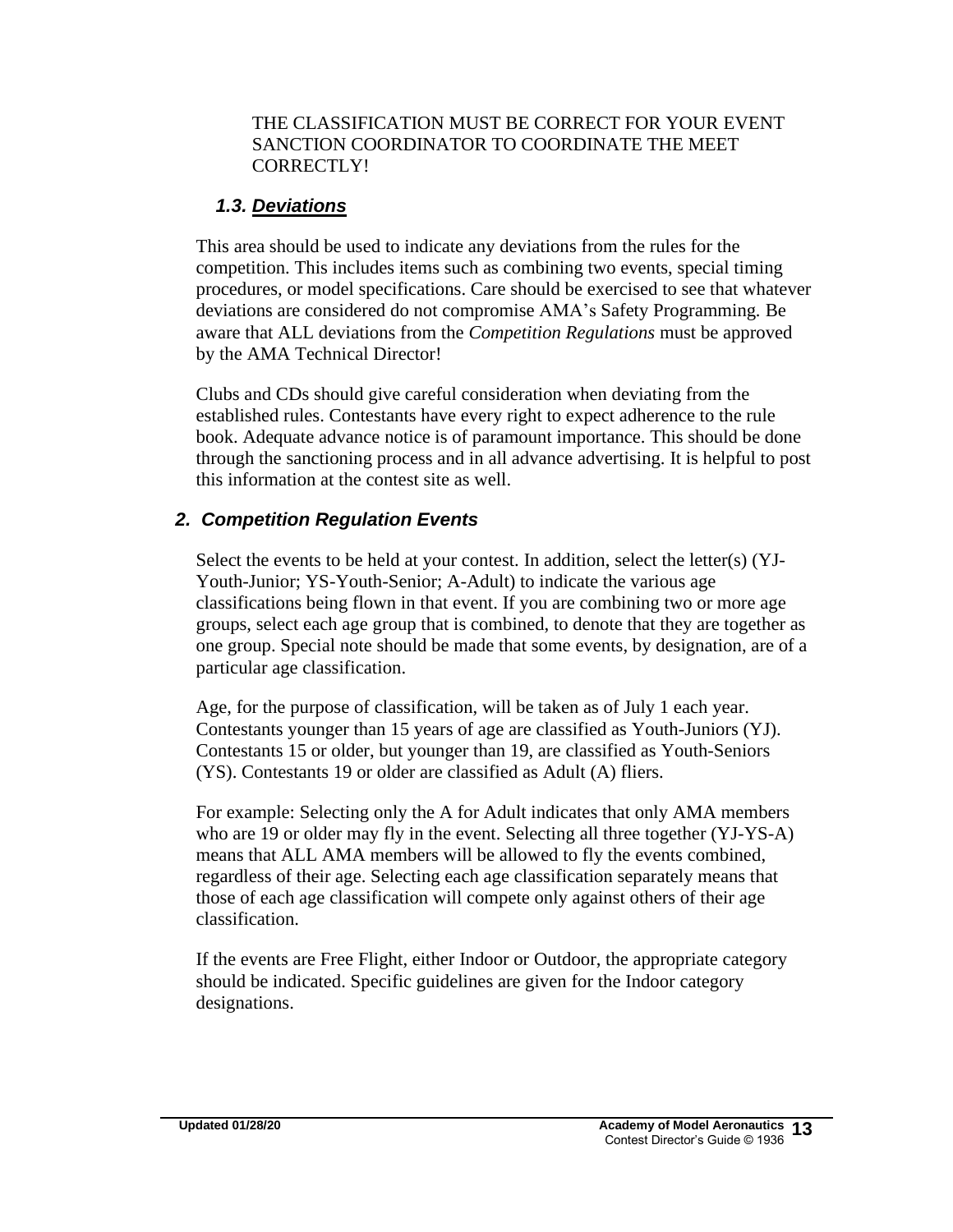#### THE CLASSIFICATION MUST BE CORRECT FOR YOUR EVENT SANCTION COORDINATOR TO COORDINATE THE MEET CORRECTLY!

## *1.3. Deviations*

This area should be used to indicate any deviations from the rules for the competition. This includes items such as combining two events, special timing procedures, or model specifications. Care should be exercised to see that whatever deviations are considered do not compromise AMA's Safety Programming*.* Be aware that ALL deviations from the *Competition Regulations* must be approved by the AMA Technical Director!

Clubs and CDs should give careful consideration when deviating from the established rules. Contestants have every right to expect adherence to the rule book. Adequate advance notice is of paramount importance. This should be done through the sanctioning process and in all advance advertising. It is helpful to post this information at the contest site as well.

## *2. Competition Regulation Events*

Select the events to be held at your contest. In addition, select the letter(s) (YJ-Youth-Junior; YS-Youth-Senior; A-Adult) to indicate the various age classifications being flown in that event. If you are combining two or more age groups, select each age group that is combined, to denote that they are together as one group. Special note should be made that some events, by designation, are of a particular age classification.

Age, for the purpose of classification, will be taken as of July 1 each year. Contestants younger than 15 years of age are classified as Youth-Juniors (YJ). Contestants 15 or older, but younger than 19, are classified as Youth-Seniors (YS). Contestants 19 or older are classified as Adult (A) fliers.

For example: Selecting only the A for Adult indicates that only AMA members who are 19 or older may fly in the event. Selecting all three together (YJ-YS-A) means that ALL AMA members will be allowed to fly the events combined, regardless of their age. Selecting each age classification separately means that those of each age classification will compete only against others of their age classification.

If the events are Free Flight, either Indoor or Outdoor, the appropriate category should be indicated. Specific guidelines are given for the Indoor category designations.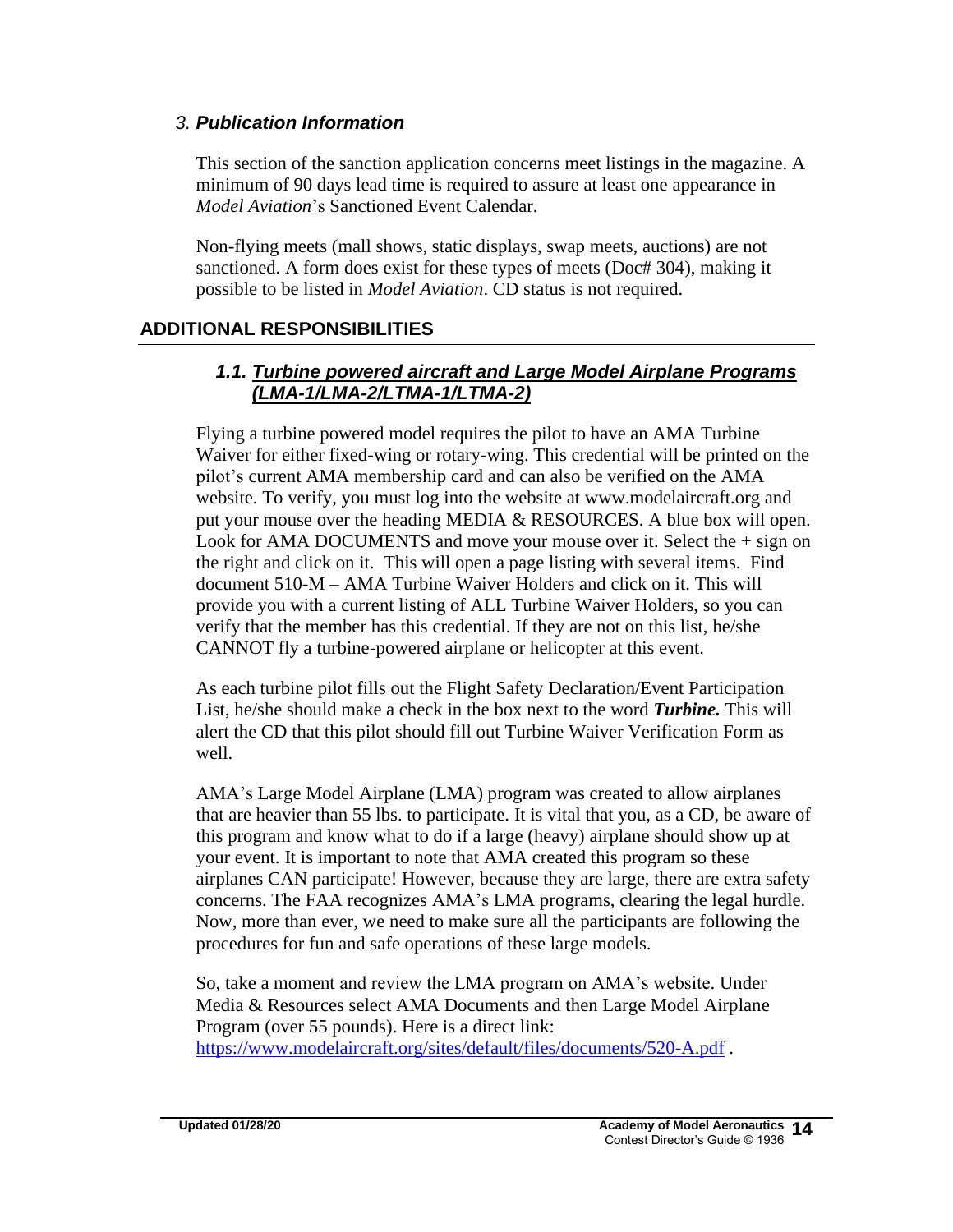#### *3. Publication Information*

This section of the sanction application concerns meet listings in the magazine. A minimum of 90 days lead time is required to assure at least one appearance in *Model Aviation*'s Sanctioned Event Calendar.

Non-flying meets (mall shows, static displays, swap meets, auctions) are not sanctioned. A form does exist for these types of meets (Doc# 304), making it possible to be listed in *Model Aviation*. CD status is not required.

## **ADDITIONAL RESPONSIBILITIES**

## *1.1. Turbine powered aircraft and Large Model Airplane Programs (LMA-1/LMA-2/LTMA-1/LTMA-2)*

Flying a turbine powered model requires the pilot to have an AMA Turbine Waiver for either fixed-wing or rotary-wing. This credential will be printed on the pilot's current AMA membership card and can also be verified on the AMA website. To verify, you must log into the website at www.modelaircraft.org and put your mouse over the heading MEDIA & RESOURCES. A blue box will open. Look for AMA DOCUMENTS and move your mouse over it. Select the + sign on the right and click on it. This will open a page listing with several items. Find document 510-M – AMA Turbine Waiver Holders and click on it. This will provide you with a current listing of ALL Turbine Waiver Holders, so you can verify that the member has this credential. If they are not on this list, he/she CANNOT fly a turbine-powered airplane or helicopter at this event.

As each turbine pilot fills out the Flight Safety Declaration/Event Participation List, he/she should make a check in the box next to the word *Turbine.* This will alert the CD that this pilot should fill out Turbine Waiver Verification Form as well.

AMA's Large Model Airplane (LMA) program was created to allow airplanes that are heavier than 55 lbs. to participate. It is vital that you, as a CD, be aware of this program and know what to do if a large (heavy) airplane should show up at your event. It is important to note that AMA created this program so these airplanes CAN participate! However, because they are large, there are extra safety concerns. The FAA recognizes AMA's LMA programs, clearing the legal hurdle. Now, more than ever, we need to make sure all the participants are following the procedures for fun and safe operations of these large models.

So, take a moment and review the LMA program on AMA's website. Under Media & Resources select AMA Documents and then Large Model Airplane Program (over 55 pounds). Here is a direct link: <https://www.modelaircraft.org/sites/default/files/documents/520-A.pdf> .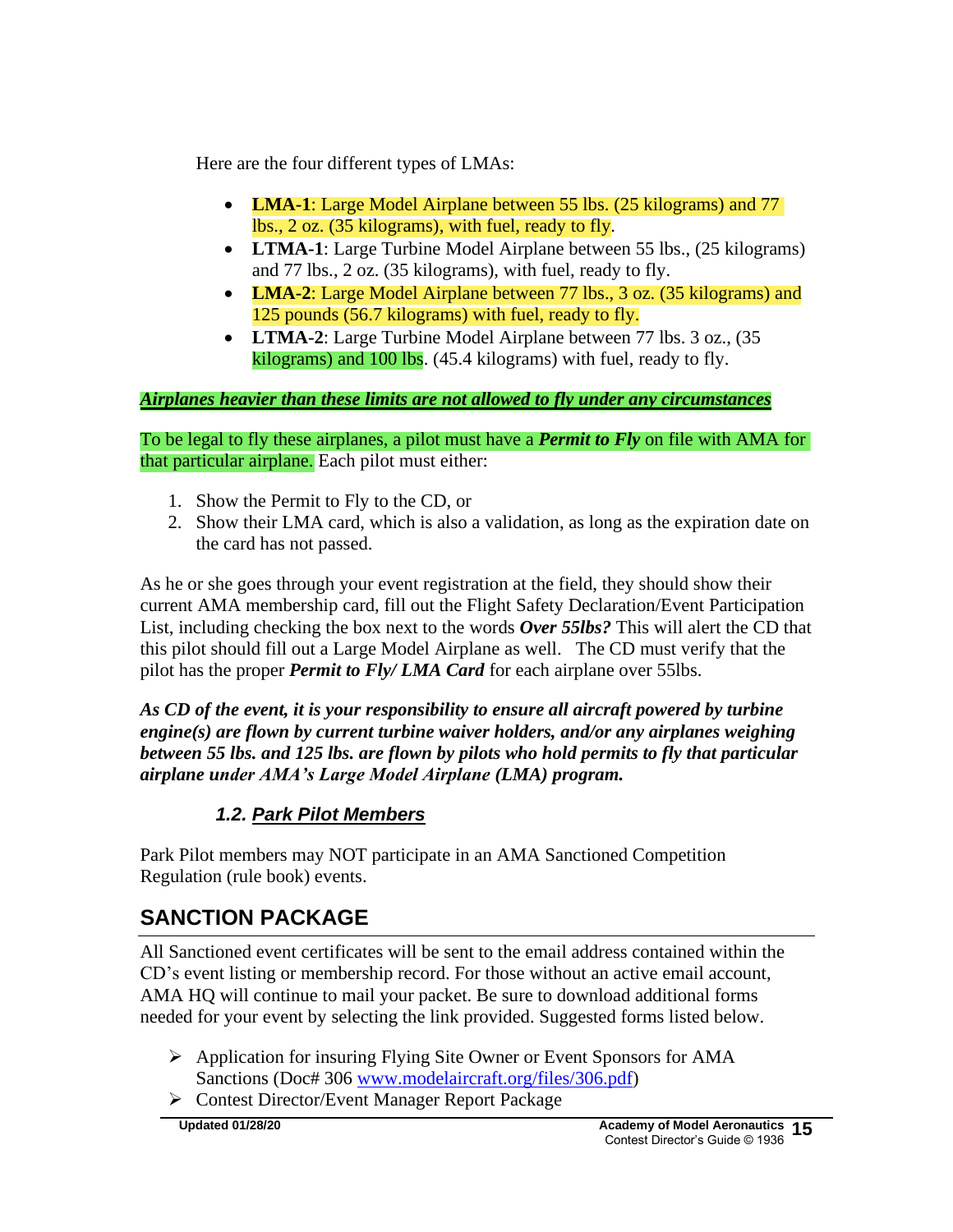Here are the four different types of LMAs:

- **LMA-1**: Large Model Airplane between 55 lbs. (25 kilograms) and 77 lbs., 2 oz. (35 kilograms), with fuel, ready to fly.
- **LTMA-1**: Large Turbine Model Airplane between 55 lbs., (25 kilograms) and 77 lbs., 2 oz. (35 kilograms), with fuel, ready to fly.
- **LMA-2**: Large Model Airplane between 77 lbs., 3 oz. (35 kilograms) and 125 pounds (56.7 kilograms) with fuel, ready to fly.
- **LTMA-2**: Large Turbine Model Airplane between 77 lbs. 3 oz., (35 kilograms) and 100 lbs. (45.4 kilograms) with fuel, ready to fly.

### *Airplanes heavier than these limits are not allowed to fly under any circumstances*

To be legal to fly these airplanes, a pilot must have a *Permit to Fly* on file with AMA for that particular airplane. Each pilot must either:

- 1. Show the Permit to Fly to the CD, or
- 2. Show their LMA card, which is also a validation, as long as the expiration date on the card has not passed.

As he or she goes through your event registration at the field, they should show their current AMA membership card, fill out the Flight Safety Declaration/Event Participation List, including checking the box next to the words *Over 55lbs?* This will alert the CD that this pilot should fill out a Large Model Airplane as well. The CD must verify that the pilot has the proper *Permit to Fly/ LMA Card* for each airplane over 55lbs.

*As CD of the event, it is your responsibility to ensure all aircraft powered by turbine engine(s) are flown by current turbine waiver holders, and/or any airplanes weighing between 55 lbs. and 125 lbs. are flown by pilots who hold permits to fly that particular airplane under AMA's Large Model Airplane (LMA) program.* 

## *1.2. Park Pilot Members*

Park Pilot members may NOT participate in an AMA Sanctioned Competition Regulation (rule book) events.

# **SANCTION PACKAGE**

All Sanctioned event certificates will be sent to the email address contained within the CD's event listing or membership record. For those without an active email account, AMA HQ will continue to mail your packet. Be sure to download additional forms needed for your event by selecting the link provided. Suggested forms listed below.

- ➢ Application for insuring Flying Site Owner or Event Sponsors for AMA Sanctions (Doc# 306 [www.modelaircraft.org/files/306.pdf\)](http://www.modelaircraft.org/files/306.pdf)
- ➢ Contest Director/Event Manager Report Package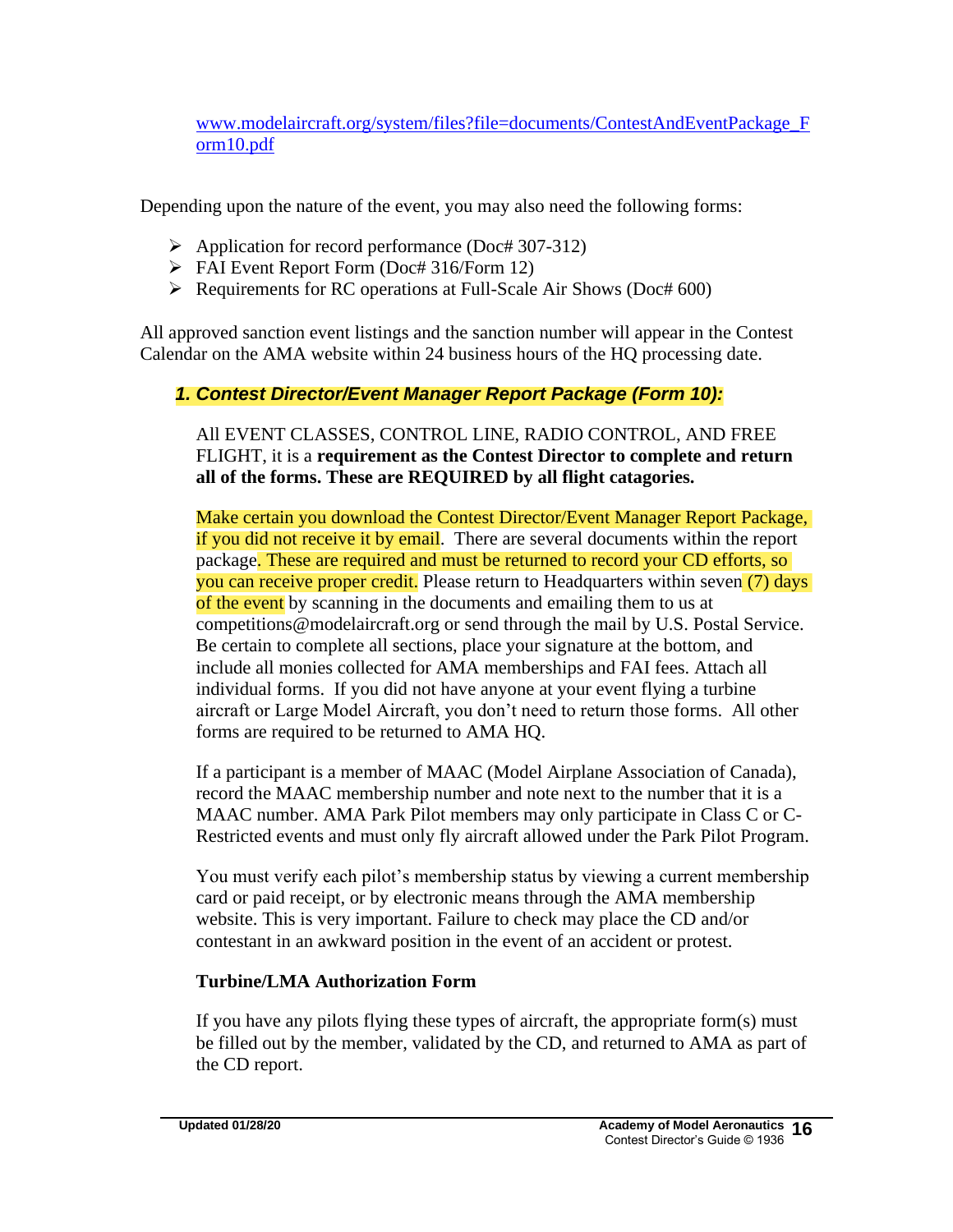[www.modelaircraft.org/system/files?file=documents/ContestAndEventPackage\\_F](http://www.modelaircraft.org/system/files?file=documents/ContestAndEventPackage_Form10.pdf) [orm10.pdf](http://www.modelaircraft.org/system/files?file=documents/ContestAndEventPackage_Form10.pdf)

Depending upon the nature of the event, you may also need the following forms:

- ➢ Application for record performance (Doc# 307-312)
- ➢ FAI Event Report Form (Doc# 316/Form 12)
- ➢ Requirements for RC operations at Full-Scale Air Shows (Doc# 600)

All approved sanction event listings and the sanction number will appear in the Contest Calendar on the AMA website within 24 business hours of the HQ processing date.

### *1. Contest Director/Event Manager Report Package (Form 10):*

All EVENT CLASSES, CONTROL LINE, RADIO CONTROL, AND FREE FLIGHT, it is a **requirement as the Contest Director to complete and return all of the forms. These are REQUIRED by all flight catagories.**

Make certain you download the Contest Director/Event Manager Report Package, if you did not receive it by email. There are several documents within the report package. These are required and must be returned to record your CD efforts, so you can receive proper credit. Please return to Headquarters within seven (7) days of the event by scanning in the documents and emailing them to us at competitions@modelaircraft.org or send through the mail by U.S. Postal Service. Be certain to complete all sections, place your signature at the bottom, and include all monies collected for AMA memberships and FAI fees. Attach all individual forms. If you did not have anyone at your event flying a turbine aircraft or Large Model Aircraft, you don't need to return those forms. All other forms are required to be returned to AMA HQ.

If a participant is a member of MAAC (Model Airplane Association of Canada), record the MAAC membership number and note next to the number that it is a MAAC number. AMA Park Pilot members may only participate in Class C or C-Restricted events and must only fly aircraft allowed under the Park Pilot Program.

You must verify each pilot's membership status by viewing a current membership card or paid receipt, or by electronic means through the AMA membership website. This is very important. Failure to check may place the CD and/or contestant in an awkward position in the event of an accident or protest.

#### **Turbine/LMA Authorization Form**

If you have any pilots flying these types of aircraft, the appropriate form(s) must be filled out by the member, validated by the CD, and returned to AMA as part of the CD report.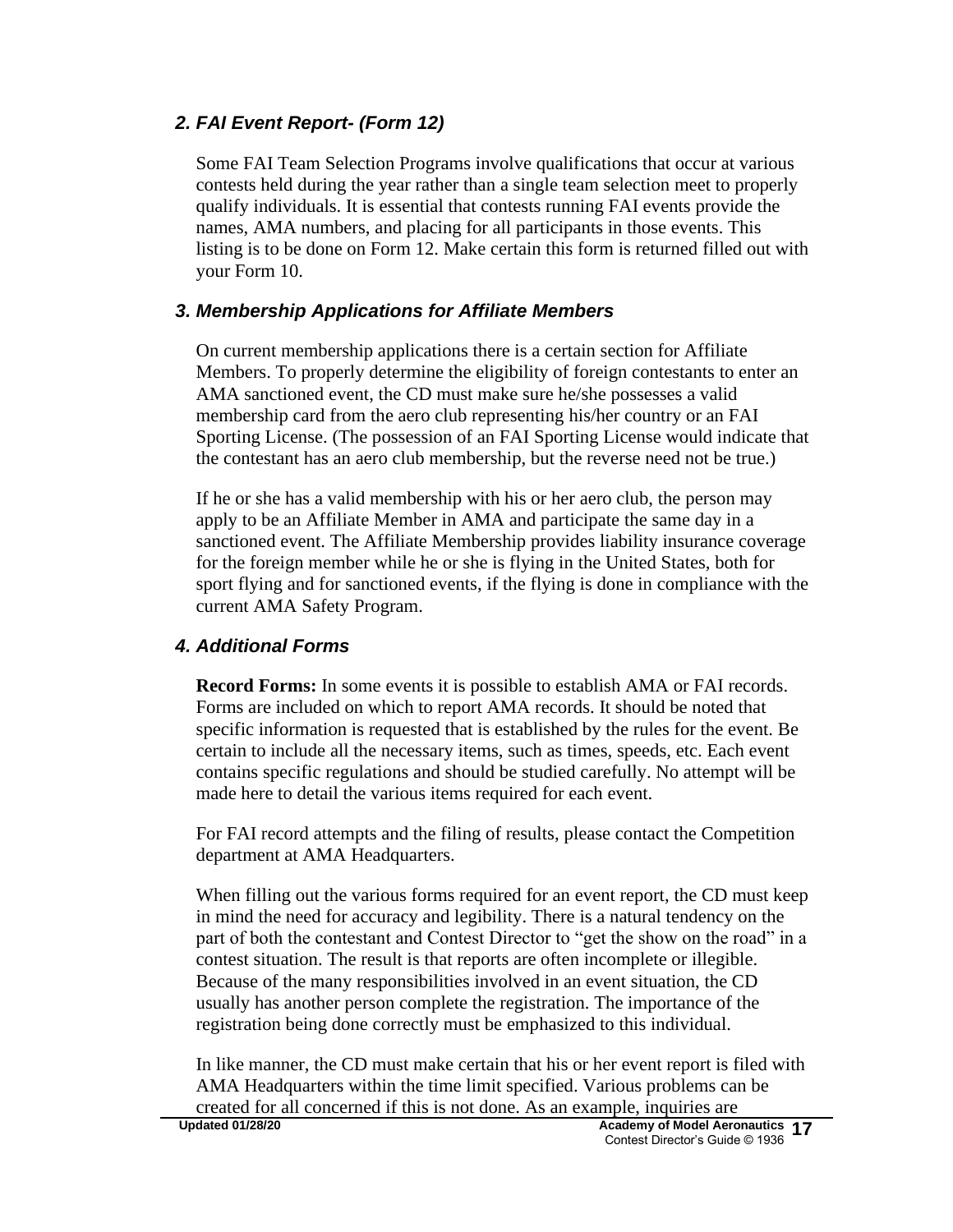## *2. FAI Event Report- (Form 12)*

Some FAI Team Selection Programs involve qualifications that occur at various contests held during the year rather than a single team selection meet to properly qualify individuals. It is essential that contests running FAI events provide the names, AMA numbers, and placing for all participants in those events. This listing is to be done on Form 12. Make certain this form is returned filled out with your Form 10.

## *3. Membership Applications for Affiliate Members*

On current membership applications there is a certain section for Affiliate Members. To properly determine the eligibility of foreign contestants to enter an AMA sanctioned event, the CD must make sure he/she possesses a valid membership card from the aero club representing his/her country or an FAI Sporting License. (The possession of an FAI Sporting License would indicate that the contestant has an aero club membership, but the reverse need not be true.)

If he or she has a valid membership with his or her aero club, the person may apply to be an Affiliate Member in AMA and participate the same day in a sanctioned event. The Affiliate Membership provides liability insurance coverage for the foreign member while he or she is flying in the United States, both for sport flying and for sanctioned events, if the flying is done in compliance with the current AMA Safety Program.

## *4. Additional Forms*

**Record Forms:** In some events it is possible to establish AMA or FAI records. Forms are included on which to report AMA records. It should be noted that specific information is requested that is established by the rules for the event. Be certain to include all the necessary items, such as times, speeds, etc. Each event contains specific regulations and should be studied carefully. No attempt will be made here to detail the various items required for each event.

For FAI record attempts and the filing of results, please contact the Competition department at AMA Headquarters.

When filling out the various forms required for an event report, the CD must keep in mind the need for accuracy and legibility. There is a natural tendency on the part of both the contestant and Contest Director to "get the show on the road" in a contest situation. The result is that reports are often incomplete or illegible. Because of the many responsibilities involved in an event situation, the CD usually has another person complete the registration. The importance of the registration being done correctly must be emphasized to this individual.

In like manner, the CD must make certain that his or her event report is filed with AMA Headquarters within the time limit specified. Various problems can be created for all concerned if this is not done. As an example, inquiries are<br>Updated 01/28/20<br>Academy of Model Aero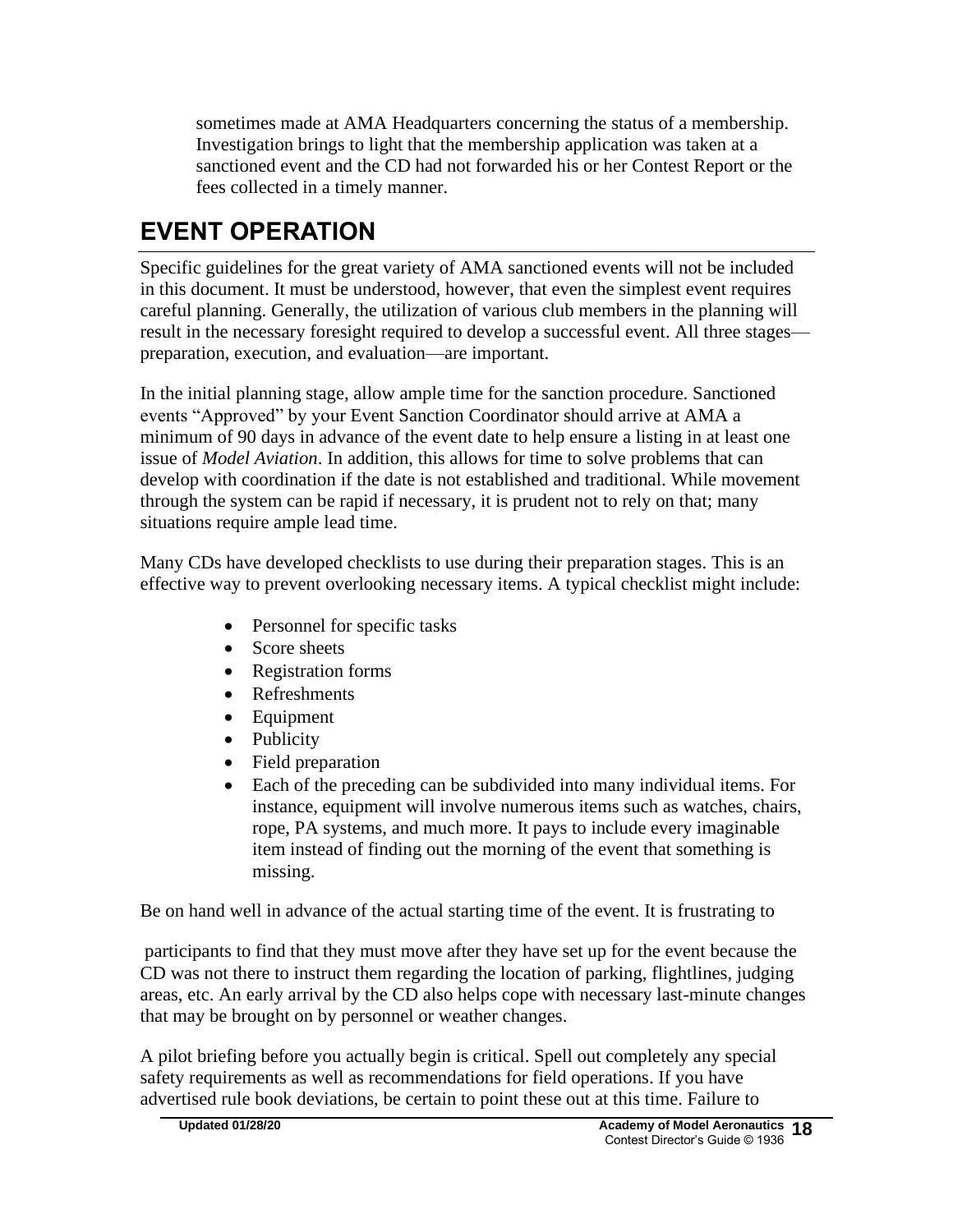sometimes made at AMA Headquarters concerning the status of a membership. Investigation brings to light that the membership application was taken at a sanctioned event and the CD had not forwarded his or her Contest Report or the fees collected in a timely manner.

# **EVENT OPERATION**

Specific guidelines for the great variety of AMA sanctioned events will not be included in this document. It must be understood, however, that even the simplest event requires careful planning. Generally, the utilization of various club members in the planning will result in the necessary foresight required to develop a successful event. All three stages preparation, execution, and evaluation—are important.

In the initial planning stage, allow ample time for the sanction procedure. Sanctioned events "Approved" by your Event Sanction Coordinator should arrive at AMA a minimum of 90 days in advance of the event date to help ensure a listing in at least one issue of *Model Aviation*. In addition, this allows for time to solve problems that can develop with coordination if the date is not established and traditional. While movement through the system can be rapid if necessary, it is prudent not to rely on that; many situations require ample lead time.

Many CDs have developed checklists to use during their preparation stages. This is an effective way to prevent overlooking necessary items. A typical checklist might include:

- Personnel for specific tasks
- Score sheets
- Registration forms
- Refreshments
- Equipment
- Publicity
- Field preparation
- Each of the preceding can be subdivided into many individual items. For instance, equipment will involve numerous items such as watches, chairs, rope, PA systems, and much more. It pays to include every imaginable item instead of finding out the morning of the event that something is missing.

Be on hand well in advance of the actual starting time of the event. It is frustrating to

participants to find that they must move after they have set up for the event because the CD was not there to instruct them regarding the location of parking, flightlines, judging areas, etc. An early arrival by the CD also helps cope with necessary last-minute changes that may be brought on by personnel or weather changes.

A pilot briefing before you actually begin is critical. Spell out completely any special safety requirements as well as recommendations for field operations. If you have advertised rule book deviations, be certain to point these out at this time. Failure to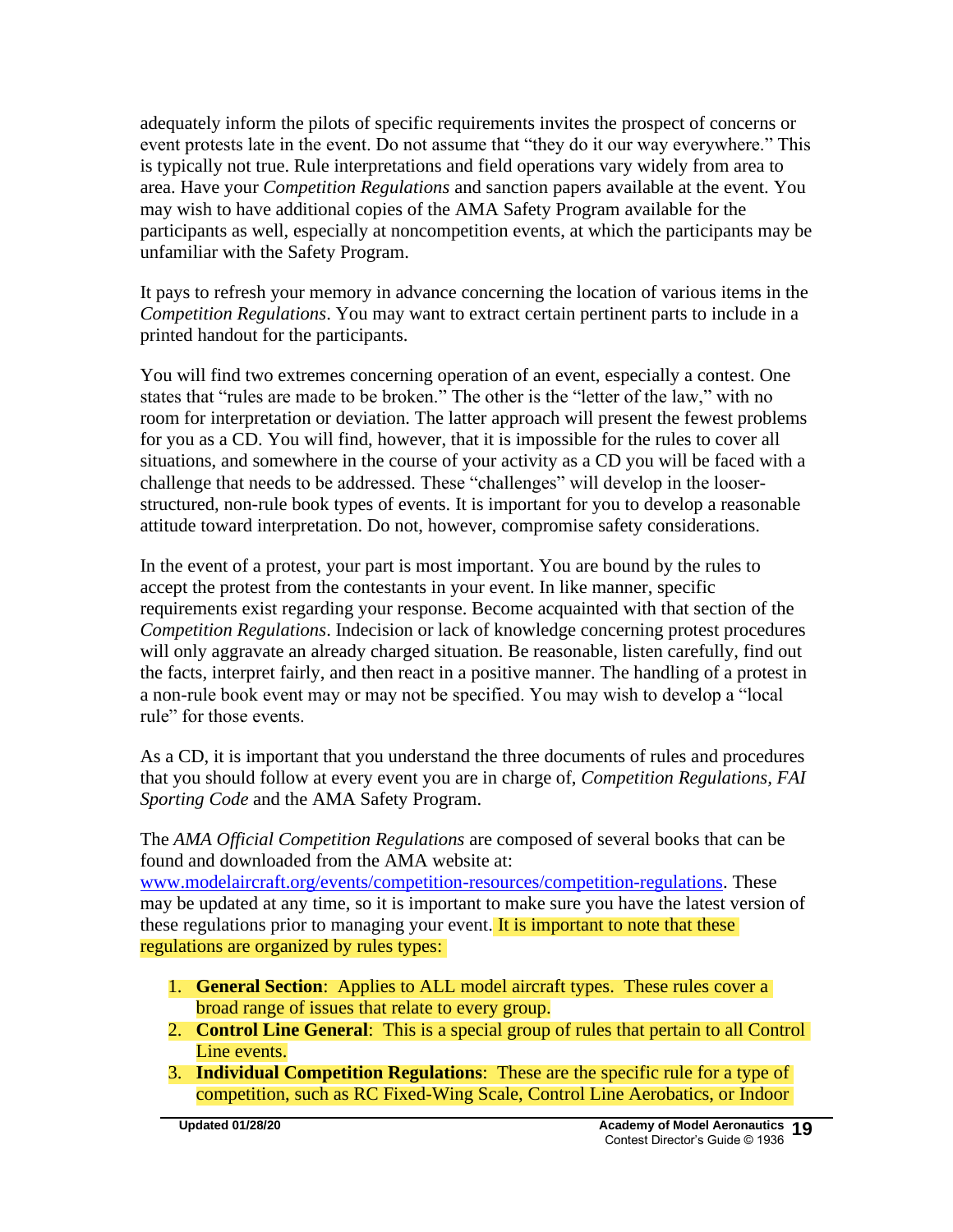adequately inform the pilots of specific requirements invites the prospect of concerns or event protests late in the event. Do not assume that "they do it our way everywhere." This is typically not true. Rule interpretations and field operations vary widely from area to area. Have your *Competition Regulations* and sanction papers available at the event. You may wish to have additional copies of the AMA Safety Program available for the participants as well, especially at noncompetition events, at which the participants may be unfamiliar with the Safety Program.

It pays to refresh your memory in advance concerning the location of various items in the *Competition Regulations*. You may want to extract certain pertinent parts to include in a printed handout for the participants.

You will find two extremes concerning operation of an event, especially a contest. One states that "rules are made to be broken." The other is the "letter of the law," with no room for interpretation or deviation. The latter approach will present the fewest problems for you as a CD. You will find, however, that it is impossible for the rules to cover all situations, and somewhere in the course of your activity as a CD you will be faced with a challenge that needs to be addressed. These "challenges" will develop in the looserstructured, non-rule book types of events. It is important for you to develop a reasonable attitude toward interpretation. Do not, however, compromise safety considerations.

In the event of a protest, your part is most important. You are bound by the rules to accept the protest from the contestants in your event. In like manner, specific requirements exist regarding your response. Become acquainted with that section of the *Competition Regulations*. Indecision or lack of knowledge concerning protest procedures will only aggravate an already charged situation. Be reasonable, listen carefully, find out the facts, interpret fairly, and then react in a positive manner. The handling of a protest in a non-rule book event may or may not be specified. You may wish to develop a "local rule" for those events.

As a CD, it is important that you understand the three documents of rules and procedures that you should follow at every event you are in charge of, *Competition Regulations, FAI Sporting Code* and the AMA Safety Program.

The *AMA Official Competition Regulations* are composed of several books that can be found and downloaded from the AMA website at: [www.modelaircraft.org/events/competition-resources/competition-regulations.](http://www.modelaircraft.org/events/competition-resources/competition-regulations) These may be updated at any time, so it is important to make sure you have the latest version of these regulations prior to managing your event. It is important to note that these regulations are organized by rules types:

- 1. **General Section**: Applies to ALL model aircraft types. These rules cover a broad range of issues that relate to every group.
- 2. **Control Line General**: This is a special group of rules that pertain to all Control Line events.
- 3. **Individual Competition Regulations**: These are the specific rule for a type of competition, such as RC Fixed-Wing Scale, Control Line Aerobatics, or Indoor